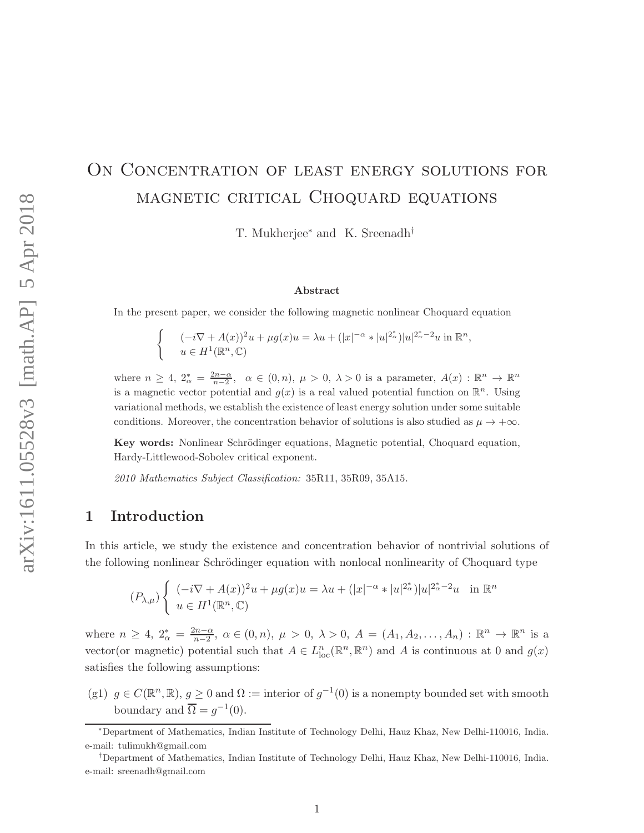# ON CONCENTRATION OF LEAST ENERGY SOLUTIONS FOR magnetic critical Choquard equations

T. Mukherjee<sup>∗</sup> and K. Sreenadh†

#### Abstract

In the present paper, we consider the following magnetic nonlinear Choquard equation

$$
\begin{cases}\n(-i\nabla + A(x))^2 u + \mu g(x)u = \lambda u + (|x|^{-\alpha} * |u|^{2^*_{\alpha}})|u|^{2^*_{\alpha}-2}u \text{ in } \mathbb{R}^n, \\
u \in H^1(\mathbb{R}^n, \mathbb{C})\n\end{cases}
$$

where  $n \geq 4$ ,  $2_{\alpha}^{*} = \frac{2n-\alpha}{n-2}$ ,  $\alpha \in (0, n)$ ,  $\mu > 0$ ,  $\lambda > 0$  is a parameter,  $A(x) : \mathbb{R}^{n} \to \mathbb{R}^{n}$ is a magnetic vector potential and  $g(x)$  is a real valued potential function on  $\mathbb{R}^n$ . Using variational methods, we establish the existence of least energy solution under some suitable conditions. Moreover, the concentration behavior of solutions is also studied as  $\mu \to +\infty$ .

Key words: Nonlinear Schrödinger equations, Magnetic potential, Choquard equation, Hardy-Littlewood-Sobolev critical exponent.

2010 Mathematics Subject Classification: 35R11, 35R09, 35A15.

## 1 Introduction

In this article, we study the existence and concentration behavior of nontrivial solutions of the following nonlinear Schrödinger equation with nonlocal nonlinearity of Choquard type

$$
(P_{\lambda,\mu})\left\{\n\begin{array}{ll}\n(-i\nabla + A(x))^2u + \mu g(x)u = \lambda u + (|x|^{-\alpha} * |u|^{2^*_{\alpha}})|u|^{2^*_{\alpha}-2}u & \text{in } \mathbb{R}^n \\
u \in H^1(\mathbb{R}^n, \mathbb{C})\n\end{array}\n\right.
$$

where  $n \geq 4$ ,  $2_{\alpha}^{*} = \frac{2n - \alpha}{n - 2}$  $\frac{2n-\alpha}{n-2}$ ,  $\alpha \in (0, n)$ ,  $\mu > 0$ ,  $\lambda > 0$ ,  $A = (A_1, A_2, \ldots, A_n) : \mathbb{R}^n \to \mathbb{R}^n$  is a vector(or magnetic) potential such that  $A \in L_{loc}^n(\mathbb{R}^n, \mathbb{R}^n)$  and A is continuous at 0 and  $g(x)$ satisfies the following assumptions:

(g1)  $g \in C(\mathbb{R}^n, \mathbb{R}), g \ge 0$  and  $\Omega :=$  interior of  $g^{-1}(0)$  is a nonempty bounded set with smooth boundary and  $\overline{\Omega} = g^{-1}(0)$ .

<sup>∗</sup>Department of Mathematics, Indian Institute of Technology Delhi, Hauz Khaz, New Delhi-110016, India. e-mail: tulimukh@gmail.com

<sup>†</sup>Department of Mathematics, Indian Institute of Technology Delhi, Hauz Khaz, New Delhi-110016, India. e-mail: sreenadh@gmail.com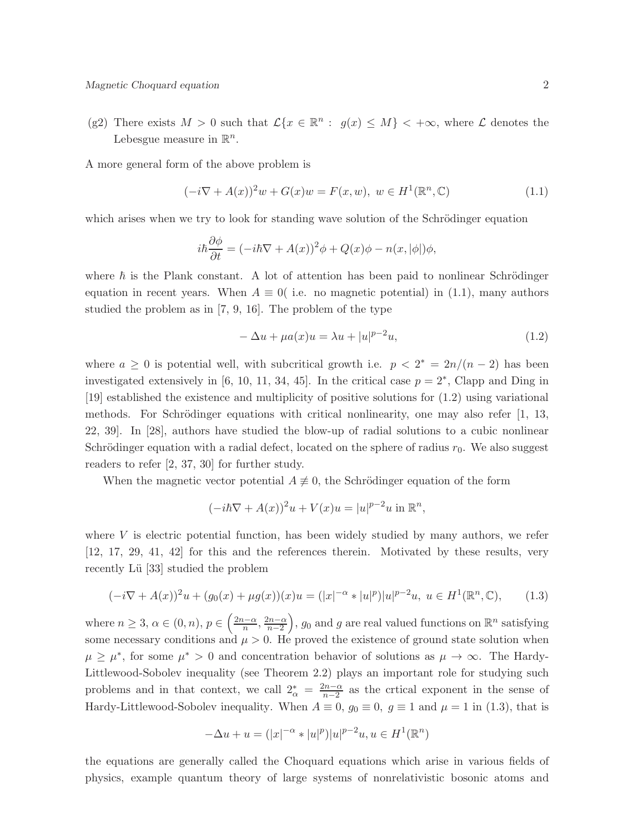(g2) There exists  $M > 0$  such that  $\mathcal{L}\{x \in \mathbb{R}^n : g(x) \leq M\} < +\infty$ , where  $\mathcal L$  denotes the Lebesgue measure in  $\mathbb{R}^n$ .

A more general form of the above problem is

$$
(-i\nabla + A(x))^{2}w + G(x)w = F(x, w), \ w \in H^{1}(\mathbb{R}^{n}, \mathbb{C})
$$
\n(1.1)

which arises when we try to look for standing wave solution of the Schrödinger equation

$$
i\hbar \frac{\partial \phi}{\partial t} = (-i\hbar \nabla + A(x))^2 \phi + Q(x)\phi - n(x, |\phi|) \phi,
$$

where  $\hbar$  is the Plank constant. A lot of attention has been paid to nonlinear Schrödinger equation in recent years. When  $A \equiv 0$  (i.e. no magnetic potential) in (1.1), many authors studied the problem as in [7, 9, 16]. The problem of the type

$$
-\Delta u + \mu a(x)u = \lambda u + |u|^{p-2}u,
$$
\n(1.2)

where  $a \geq 0$  is potential well, with subcritical growth i.e.  $p < 2^* = 2n/(n-2)$  has been investigated extensively in [6, 10, 11, 34, 45]. In the critical case  $p = 2^*$ , Clapp and Ding in [19] established the existence and multiplicity of positive solutions for (1.2) using variational methods. For Schrödinger equations with critical nonlinearity, one may also refer  $[1, 13,$ 22, 39]. In [28], authors have studied the blow-up of radial solutions to a cubic nonlinear Schrödinger equation with a radial defect, located on the sphere of radius  $r_0$ . We also suggest readers to refer [2, 37, 30] for further study.

When the magnetic vector potential  $A \neq 0$ , the Schrödinger equation of the form

$$
(-i\hbar \nabla + A(x))^2 u + V(x)u = |u|^{p-2}u \text{ in } \mathbb{R}^n,
$$

where  $V$  is electric potential function, has been widely studied by many authors, we refer [12, 17, 29, 41, 42] for this and the references therein. Motivated by these results, very recently Lü [33] studied the problem

$$
(-i\nabla + A(x))^2 u + (g_0(x) + \mu g(x))(x)u = (|x|^{-\alpha} * |u|^p)|u|^{p-2}u, \ u \in H^1(\mathbb{R}^n, \mathbb{C}), \qquad (1.3)
$$

where  $n \geq 3, \alpha \in (0, n), p \in \left(\frac{2n-\alpha}{n}\right)$  $\frac{n-\alpha}{n}, \frac{2n-\alpha}{n-2}$  $n-2$ ),  $g_0$  and g are real valued functions on  $\mathbb{R}^n$  satisfying some necessary conditions and  $\mu > 0$ . He proved the existence of ground state solution when  $\mu \geq \mu^*$ , for some  $\mu^* > 0$  and concentration behavior of solutions as  $\mu \to \infty$ . The Hardy-Littlewood-Sobolev inequality (see Theorem 2.2) plays an important role for studying such problems and in that context, we call  $2^*_{\alpha} = \frac{2n-\alpha}{n-2}$  as the crtical exponent in the sense of Hardy-Littlewood-Sobolev inequality. When  $A \equiv 0$ ,  $g_0 \equiv 0$ ,  $g \equiv 1$  and  $\mu = 1$  in (1.3), that is

$$
-\Delta u + u = (|x|^{-\alpha} * |u|^p)|u|^{p-2}u, u \in H^1(\mathbb{R}^n)
$$

the equations are generally called the Choquard equations which arise in various fields of physics, example quantum theory of large systems of nonrelativistic bosonic atoms and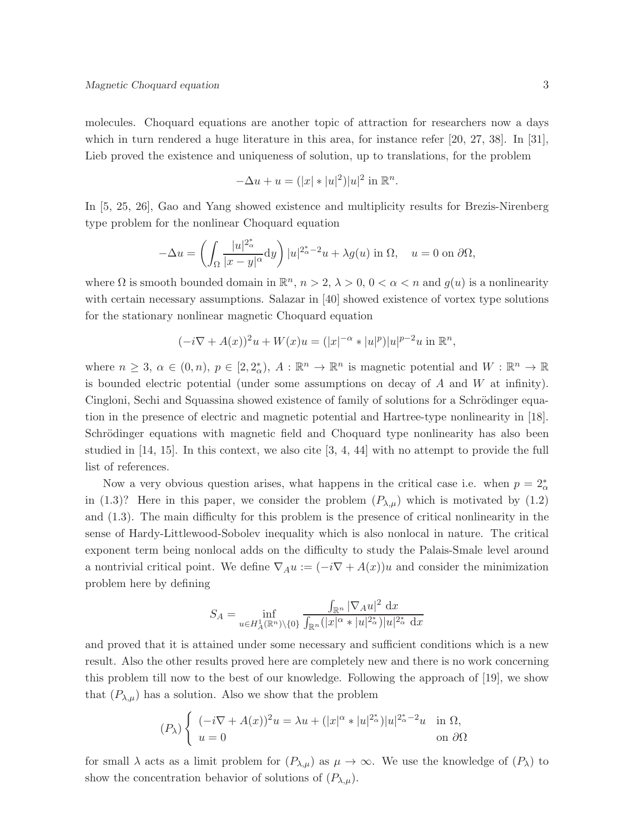molecules. Choquard equations are another topic of attraction for researchers now a days which in turn rendered a huge literature in this area, for instance refer [20, 27, 38]. In [31], Lieb proved the existence and uniqueness of solution, up to translations, for the problem

$$
-\Delta u + u = (|x| * |u|^2)|u|^2 \text{ in } \mathbb{R}^n.
$$

In [5, 25, 26], Gao and Yang showed existence and multiplicity results for Brezis-Nirenberg type problem for the nonlinear Choquard equation

$$
-\Delta u = \left(\int_{\Omega} \frac{|u|^{2_{\alpha}^*}}{|x-y|^{\alpha}} dy\right) |u|^{2_{\alpha}^* - 2} u + \lambda g(u) \text{ in } \Omega, \quad u = 0 \text{ on } \partial\Omega,
$$

where  $\Omega$  is smooth bounded domain in  $\mathbb{R}^n$ ,  $n > 2$ ,  $\lambda > 0$ ,  $0 < \alpha < n$  and  $g(u)$  is a nonlinearity with certain necessary assumptions. Salazar in [40] showed existence of vortex type solutions for the stationary nonlinear magnetic Choquard equation

$$
(-i\nabla + A(x))^{2}u + W(x)u = (|x|^{-\alpha} * |u|^{p})|u|^{p-2}u \text{ in } \mathbb{R}^{n},
$$

where  $n \geq 3$ ,  $\alpha \in (0, n)$ ,  $p \in [2, 2^*_{\alpha})$ ,  $A : \mathbb{R}^n \to \mathbb{R}^n$  is magnetic potential and  $W : \mathbb{R}^n \to \mathbb{R}$ is bounded electric potential (under some assumptions on decay of  $A$  and  $W$  at infinity). Cingloni, Sechi and Squassina showed existence of family of solutions for a Schrödinger equation in the presence of electric and magnetic potential and Hartree-type nonlinearity in [18]. Schrödinger equations with magnetic field and Choquard type nonlinearity has also been studied in [14, 15]. In this context, we also cite [3, 4, 44] with no attempt to provide the full list of references.

Now a very obvious question arises, what happens in the critical case i.e. when  $p = 2^*_{\alpha}$ in (1.3)? Here in this paper, we consider the problem  $(P_{\lambda,\mu})$  which is motivated by (1.2) and (1.3). The main difficulty for this problem is the presence of critical nonlinearity in the sense of Hardy-Littlewood-Sobolev inequality which is also nonlocal in nature. The critical exponent term being nonlocal adds on the difficulty to study the Palais-Smale level around a nontrivial critical point. We define  $\nabla_A u := (-i\nabla + A(x))u$  and consider the minimization problem here by defining

$$
S_A=\inf_{u\in H_A^1(\mathbb{R}^n)\backslash\{0\}}\frac{\int_{\mathbb{R}^n}|\nabla_A u|^2\;\mathrm{d}x}{\int_{\mathbb{R}^n}(|x|^\alpha*|u|^{2_\alpha^*})|u|^{2_\alpha^*}\;\mathrm{d}x}
$$

and proved that it is attained under some necessary and sufficient conditions which is a new result. Also the other results proved here are completely new and there is no work concerning this problem till now to the best of our knowledge. Following the approach of [19], we show that  $(P_{\lambda,\mu})$  has a solution. Also we show that the problem

$$
(P_\lambda)\left\{\begin{array}{ll} (-i\nabla + A(x))^2 u = \lambda u + (|x|^\alpha * |u|^{2_\alpha^*})|u|^{2_\alpha^* - 2} u & \text{in } \Omega, \\ u = 0 & \text{on } \partial\Omega \end{array}\right.
$$

for small  $\lambda$  acts as a limit problem for  $(P_{\lambda,\mu})$  as  $\mu \to \infty$ . We use the knowledge of  $(P_{\lambda})$  to show the concentration behavior of solutions of  $(P_{\lambda,\mu})$ .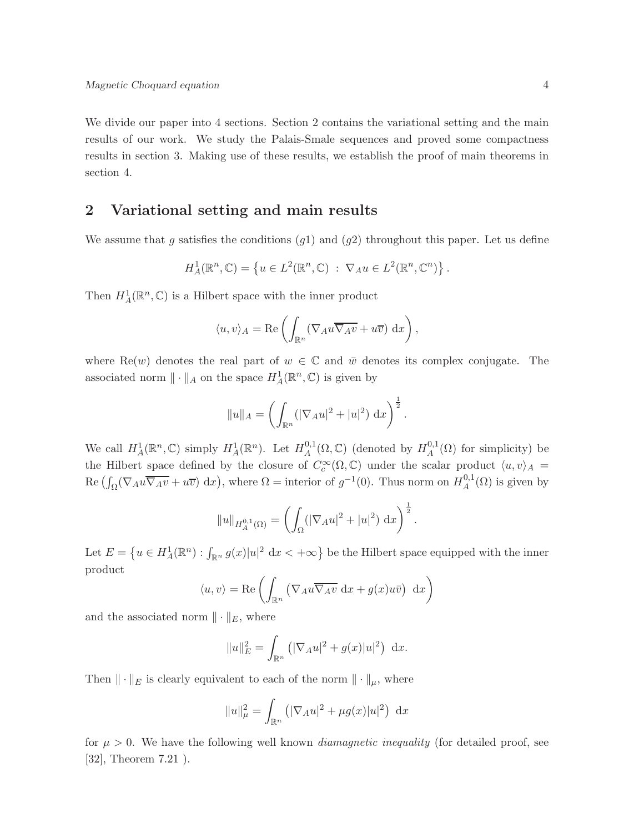We divide our paper into 4 sections. Section 2 contains the variational setting and the main results of our work. We study the Palais-Smale sequences and proved some compactness results in section 3. Making use of these results, we establish the proof of main theorems in section 4.

### 2 Variational setting and main results

We assume that g satisfies the conditions  $(g1)$  and  $(g2)$  throughout this paper. Let us define

$$
H_A^1(\mathbb{R}^n, \mathbb{C}) = \left\{ u \in L^2(\mathbb{R}^n, \mathbb{C}) \; : \; \nabla_A u \in L^2(\mathbb{R}^n, \mathbb{C}^n) \right\}.
$$

Then  $H^1_A(\mathbb{R}^n,\mathbb{C})$  is a Hilbert space with the inner product

$$
\langle u, v \rangle_A = \text{Re}\left(\int_{\mathbb{R}^n} (\nabla_A u \overline{\nabla_A v} + u \overline{v}) \, dx\right),
$$

where Re(w) denotes the real part of  $w \in \mathbb{C}$  and  $\bar{w}$  denotes its complex conjugate. The associated norm  $\|\cdot\|_A$  on the space  $H^1_A(\mathbb{R}^n,\mathbb{C})$  is given by

$$
||u||_A = \left(\int_{\mathbb{R}^n} (|\nabla_A u|^2 + |u|^2) dx\right)^{\frac{1}{2}}.
$$

We call  $H_A^1(\mathbb{R}^n, \mathbb{C})$  simply  $H_A^1(\mathbb{R}^n)$ . Let  $H_A^{0,1}$  $A^{0,1}(\Omega,\mathbb{C})$  (denoted by  $H_A^{0,1}$  $A^{0,1}(\Omega)$  for simplicity) be the Hilbert space defined by the closure of  $C_c^{\infty}(\Omega,\mathbb{C})$  under the scalar product  $\langle u, v \rangle_A =$  $\text{Re}\left(\int_{\Omega}(\nabla_{A}u\overline{\nabla_{A}v}+u\overline{v})\ dx\right)$ , where  $\Omega =$  interior of  $g^{-1}(0)$ . Thus norm on  $H_A^{0,1}$  $A^{0,1}(\Omega)$  is given by

$$
||u||_{H_A^{0,1}(\Omega)} = \left(\int_{\Omega} (|\nabla_A u|^2 + |u|^2) \, dx\right)^{\frac{1}{2}}.
$$

Let  $E = \{u \in H^1_A(\mathbb{R}^n) : \int_{\mathbb{R}^n} g(x)|u|^2 \, dx < +\infty\}$  be the Hilbert space equipped with the inner product

$$
\langle u, v \rangle = \text{Re}\left(\int_{\mathbb{R}^n} \left(\nabla_A u \overline{\nabla_A v} \, dx + g(x) u \overline{v}\right) \, dx\right)
$$

and the associated norm  $\|\cdot\|_E$ , where

$$
||u||_E^2 = \int_{\mathbb{R}^n} (|\nabla_A u|^2 + g(x)|u|^2) dx.
$$

Then  $\|\cdot\|_E$  is clearly equivalent to each of the norm  $\|\cdot\|_{\mu}$ , where

$$
||u||_{\mu}^{2} = \int_{\mathbb{R}^{n}} (|\nabla_{A} u|^{2} + \mu g(x)|u|^{2}) dx
$$

for  $\mu > 0$ . We have the following well known *diamagnetic inequality* (for detailed proof, see [32], Theorem 7.21).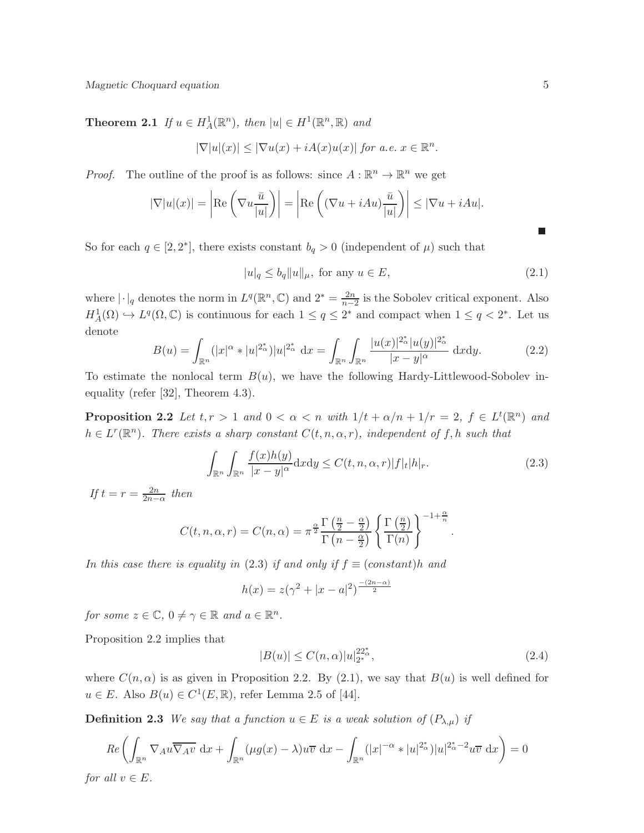**Theorem 2.1** If  $u \in H^1_A(\mathbb{R}^n)$ , then  $|u| \in H^1(\mathbb{R}^n, \mathbb{R})$  and

$$
|\nabla |u|(x)| \le |\nabla u(x) + iA(x)u(x)| \text{ for a.e. } x \in \mathbb{R}^n.
$$

*Proof.* The outline of the proof is as follows: since  $A : \mathbb{R}^n \to \mathbb{R}^n$  we get

$$
|\nabla |u|(x)| = \left| \text{Re}\left(\nabla u \frac{\bar{u}}{|u|}\right) \right| = \left| \text{Re}\left((\nabla u + iAu)\frac{\bar{u}}{|u|}\right) \right| \leq |\nabla u + iAu|.
$$

So for each  $q \in [2, 2^*]$ , there exists constant  $b_q > 0$  (independent of  $\mu$ ) such that

$$
|u|_q \le b_q \|u\|_\mu, \text{ for any } u \in E,
$$
\n
$$
(2.1)
$$

where  $|\cdot|_q$  denotes the norm in  $L^q(\mathbb{R}^n,\mathbb{C})$  and  $2^* = \frac{2n}{n-1}$  $\frac{2n}{n-2}$  is the Sobolev critical exponent. Also  $H_A^1(\Omega) \hookrightarrow L^q(\Omega,\mathbb{C})$  is continuous for each  $1 \leq q \leq 2^*$  and compact when  $1 \leq q < 2^*$ . Let us denote

$$
B(u) = \int_{\mathbb{R}^n} (|x|^{\alpha} * |u|^{2^*_{\alpha}}) |u|^{2^*_{\alpha}} dx = \int_{\mathbb{R}^n} \int_{\mathbb{R}^n} \frac{|u(x)|^{2^*_{\alpha}} |u(y)|^{2^*_{\alpha}}}{|x - y|^{\alpha}} dx dy.
$$
 (2.2)

To estimate the nonlocal term  $B(u)$ , we have the following Hardy-Littlewood-Sobolev inequality (refer [32], Theorem 4.3).

**Proposition 2.2** Let  $t, r > 1$  and  $0 < \alpha < n$  with  $1/t + \alpha/n + 1/r = 2$ ,  $f \in L^t(\mathbb{R}^n)$  and  $h \in L^r(\mathbb{R}^n)$ . There exists a sharp constant  $C(t, n, \alpha, r)$ , independent of f, h such that

$$
\int_{\mathbb{R}^n} \int_{\mathbb{R}^n} \frac{f(x)h(y)}{|x-y|^{\alpha}} dx dy \le C(t, n, \alpha, r) |f|_{t} |h|_{r}.
$$
\n(2.3)

If  $t = r = \frac{2n}{2n - \alpha}$  then

$$
C(t, n, \alpha, r) = C(n, \alpha) = \pi^{\frac{\alpha}{2}} \frac{\Gamma(\frac{n}{2} - \frac{\alpha}{2})}{\Gamma(n - \frac{\alpha}{2})} \left\{ \frac{\Gamma(\frac{n}{2})}{\Gamma(n)} \right\}^{-1 + \frac{\alpha}{n}}.
$$

In this case there is equality in (2.3) if and only if  $f \equiv (constant)h$  and

$$
h(x) = z(\gamma^2 + |x - a|^2)^{\frac{-(2n - \alpha)}{2}}
$$

for some  $z \in \mathbb{C}$ ,  $0 \neq \gamma \in \mathbb{R}$  and  $a \in \mathbb{R}^n$ .

Proposition 2.2 implies that

$$
|B(u)| \le C(n,\alpha)|u|_{2^*}^{22^*_{\alpha}},\tag{2.4}
$$

where  $C(n, \alpha)$  is as given in Proposition 2.2. By (2.1), we say that  $B(u)$  is well defined for  $u \in E$ . Also  $B(u) \in C^1(E, \mathbb{R})$ , refer Lemma 2.5 of [44].

**Definition 2.3** We say that a function  $u \in E$  is a weak solution of  $(P_{\lambda,\mu})$  if

$$
Re\left(\int_{\mathbb{R}^n} \nabla_A u \overline{\nabla_A v} \, dx + \int_{\mathbb{R}^n} (\mu g(x) - \lambda) u \overline{v} \, dx - \int_{\mathbb{R}^n} (|x|^{-\alpha} * |u|^{2^*_{\alpha}}) |u|^{2^*_{\alpha} - 2} u \overline{v} \, dx\right) = 0
$$
  
for all  $v \in E$ .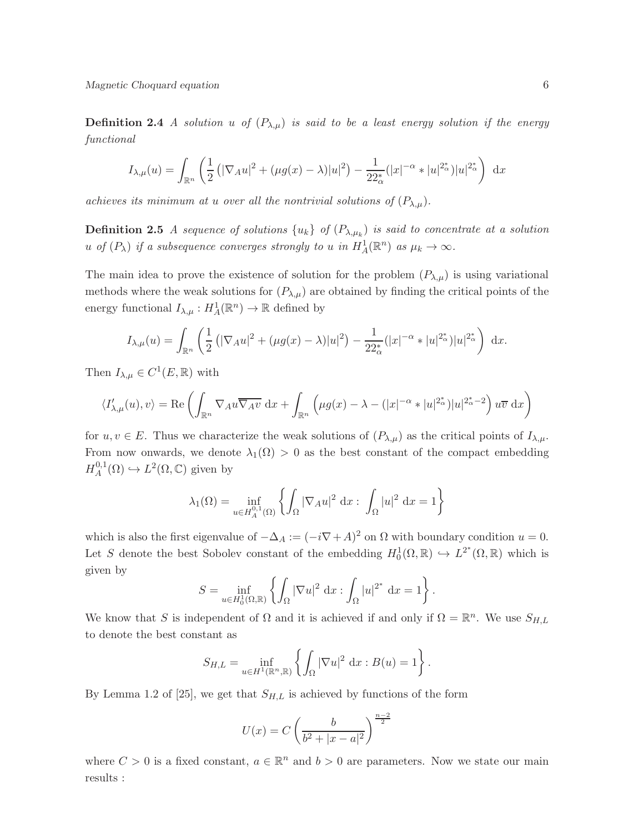Magnetic Choquard equation 6

**Definition 2.4** A solution u of  $(P_{\lambda,\mu})$  is said to be a least energy solution if the energy functional

$$
I_{\lambda,\mu}(u) = \int_{\mathbb{R}^n} \left( \frac{1}{2} \left( |\nabla_A u|^2 + (\mu g(x) - \lambda) |u|^2 \right) - \frac{1}{22_\alpha^*} (|x|^{-\alpha} * |u|^{2_\alpha^*}) |u|^{2_\alpha^*} \right) dx
$$

achieves its minimum at u over all the nontrivial solutions of  $(P_{\lambda,\mu})$ .

**Definition 2.5** A sequence of solutions  $\{u_k\}$  of  $(P_{\lambda,\mu_k})$  is said to concentrate at a solution u of  $(P_\lambda)$  if a subsequence converges strongly to u in  $H^1_A(\mathbb{R}^n)$  as  $\mu_k \to \infty$ .

The main idea to prove the existence of solution for the problem  $(P_{\lambda,\mu})$  is using variational methods where the weak solutions for  $(P_{\lambda,\mu})$  are obtained by finding the critical points of the energy functional  $I_{\lambda,\mu}: H^1_A(\mathbb{R}^n) \to \mathbb{R}$  defined by

$$
I_{\lambda,\mu}(u) = \int_{\mathbb{R}^n} \left( \frac{1}{2} \left( |\nabla_A u|^2 + (\mu g(x) - \lambda) |u|^2 \right) - \frac{1}{22_\alpha^*} (|x|^{-\alpha} * |u|^{2_\alpha^*}) |u|^{2_\alpha^*} \right) dx.
$$

Then  $I_{\lambda,\mu} \in C^1(E,\mathbb{R})$  with

$$
\langle I'_{\lambda,\mu}(u),v\rangle = \text{Re}\left(\int_{\mathbb{R}^n} \nabla_A u \overline{\nabla_A v} \,dx + \int_{\mathbb{R}^n} \left(\mu g(x) - \lambda - (|x|^{-\alpha} * |u|^{2^*_{\alpha}})|u|^{2^*_{\alpha}-2}\right) u \overline{v} \,dx\right)
$$

for  $u, v \in E$ . Thus we characterize the weak solutions of  $(P_{\lambda,\mu})$  as the critical points of  $I_{\lambda,\mu}$ . From now onwards, we denote  $\lambda_1(\Omega) > 0$  as the best constant of the compact embedding  $H_A^{0,1}$  $L^2(\Omega, \mathbb{C})$  given by

$$
\lambda_1(\Omega) = \inf_{u \in H_A^{0,1}(\Omega)} \left\{ \int_{\Omega} |\nabla_A u|^2 \, \mathrm{d}x : \int_{\Omega} |u|^2 \, \mathrm{d}x = 1 \right\}
$$

which is also the first eigenvalue of  $-\Delta_A := (-i\nabla + A)^2$  on  $\Omega$  with boundary condition  $u = 0$ . Let S denote the best Sobolev constant of the embedding  $H_0^1(\Omega,\mathbb{R}) \hookrightarrow L^{2^*}(\Omega,\mathbb{R})$  which is given by

$$
S = \inf_{u \in H_0^1(\Omega, \mathbb{R})} \left\{ \int_{\Omega} |\nabla u|^2 dx : \int_{\Omega} |u|^{2^*} dx = 1 \right\}.
$$

We know that S is independent of  $\Omega$  and it is achieved if and only if  $\Omega = \mathbb{R}^n$ . We use  $S_{H,L}$ to denote the best constant as

$$
S_{H,L} = \inf_{u \in H^1(\mathbb{R}^n, \mathbb{R})} \left\{ \int_{\Omega} |\nabla u|^2 \, dx : B(u) = 1 \right\}.
$$

By Lemma 1.2 of [25], we get that  $S_{H,L}$  is achieved by functions of the form

$$
U(x) = C \left( \frac{b}{b^2 + |x - a|^2} \right)^{\frac{n-2}{2}}
$$

where  $C > 0$  is a fixed constant,  $a \in \mathbb{R}^n$  and  $b > 0$  are parameters. Now we state our main results :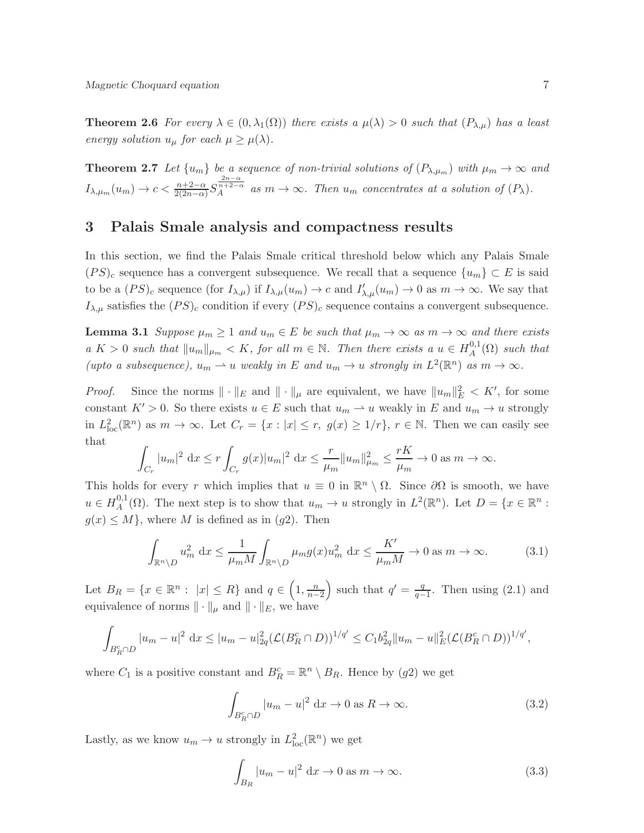**Theorem 2.6** For every  $\lambda \in (0, \lambda_1(\Omega))$  there exists a  $\mu(\lambda) > 0$  such that  $(P_{\lambda,\mu})$  has a least energy solution  $u_{\mu}$  for each  $\mu \geq \mu(\lambda)$ .

**Theorem 2.7** Let  $\{u_m\}$  be a sequence of non-trivial solutions of  $(P_{\lambda,\mu_m})$  with  $\mu_m \to \infty$  and  $I_{\lambda,\mu_m}(u_m) \to c < \frac{n+2-\alpha}{2(2n-\alpha)} S_A^{\frac{2n-\alpha}{n+2-\alpha}}$  as  $m \to \infty$ . Then  $u_m$  concentrates at a solution of  $(P_\lambda)$ .

### 3 Palais Smale analysis and compactness results

In this section, we find the Palais Smale critical threshold below which any Palais Smale  $(PS)_c$  sequence has a convergent subsequence. We recall that a sequence  $\{u_m\} \subset E$  is said to be a  $(PS)_c$  sequence (for  $I_{\lambda,\mu}(u_m) \to c$  and  $I'_{\lambda,\mu}(u_m) \to 0$  as  $m \to \infty$ . We say that  $I_{\lambda,\mu}$  satisfies the  $(PS)_c$  condition if every  $(PS)_c$  sequence contains a convergent subsequence.

**Lemma 3.1** Suppose  $\mu_m \geq 1$  and  $u_m \in E$  be such that  $\mu_m \to \infty$  as  $m \to \infty$  and there exists  $a K > 0$  such that  $||u_m||_{\mu_m} < K$ , for all  $m \in \mathbb{N}$ . Then there exists a  $u \in H_A^{0,1}$  $_{A}^{\omega,1}(\Omega)$  such that (upto a subsequence),  $u_m \rightharpoonup u$  weakly in E and  $u_m \rightharpoonup u$  strongly in  $L^2(\mathbb{R}^n)$  as  $m \rightharpoonup \infty$ .

*Proof.* Since the norms  $\|\cdot\|_E$  and  $\|\cdot\|_{\mu}$  are equivalent, we have  $\|u_m\|_E^2 < K'$ , for some constant  $K' > 0$ . So there exists  $u \in E$  such that  $u_m \to u$  weakly in E and  $u_m \to u$  strongly in  $L^2_{\text{loc}}(\mathbb{R}^n)$  as  $m \to \infty$ . Let  $C_r = \{x : |x| \le r, g(x) \ge 1/r\}$ ,  $r \in \mathbb{N}$ . Then we can easily see that

$$
\int_{C_r} |u_m|^2 \, dx \le r \int_{C_r} g(x) |u_m|^2 \, dx \le \frac{r}{\mu_m} \|u_m\|_{\mu_m}^2 \le \frac{rK}{\mu_m} \to 0 \text{ as } m \to \infty.
$$

This holds for every r which implies that  $u \equiv 0$  in  $\mathbb{R}^n \setminus \Omega$ . Since  $\partial\Omega$  is smooth, we have  $u \in H^{0,1}_A$ <sup>0,1</sup>( $\Omega$ ). The next step is to show that  $u_m \to u$  strongly in  $L^2(\mathbb{R}^n)$ . Let  $D = \{x \in \mathbb{R}^n :$  $g(x) \leq M$ , where M is defined as in (g2). Then

$$
\int_{\mathbb{R}^n \setminus D} u_m^2 dx \le \frac{1}{\mu_m M} \int_{\mathbb{R}^n \setminus D} \mu_m g(x) u_m^2 dx \le \frac{K'}{\mu_m M} \to 0 \text{ as } m \to \infty. \tag{3.1}
$$

Let  $B_R = \{x \in \mathbb{R}^n : |x| \le R\}$  and  $q \in \left(1, \frac{n}{n-2}\right)$ ) such that  $q' = \frac{q}{q}$  $\frac{q}{q-1}$ . Then using (2.1) and equivalence of norms  $\|\cdot\|_{\mu}$  and  $\|\cdot\|_{E}$ , we have

$$
\int_{B_R^c \cap D} |u_m - u|^2 \, dx \le |u_m - u|^2_{2q} (\mathcal{L}(B_R^c \cap D))^{1/q'} \le C_1 b_{2q}^2 \|u_m - u\|^2_{E} (\mathcal{L}(B_R^c \cap D))^{1/q'},
$$

where  $C_1$  is a positive constant and  $B_R^c = \mathbb{R}^n \setminus B_R$ . Hence by  $(g2)$  we get

$$
\int_{B_R^c \cap D} |u_m - u|^2 \, \mathrm{d}x \to 0 \text{ as } R \to \infty. \tag{3.2}
$$

Lastly, as we know  $u_m \to u$  strongly in  $L^2_{loc}(\mathbb{R}^n)$  we get

$$
\int_{B_R} |u_m - u|^2 \, \mathrm{d}x \to 0 \text{ as } m \to \infty. \tag{3.3}
$$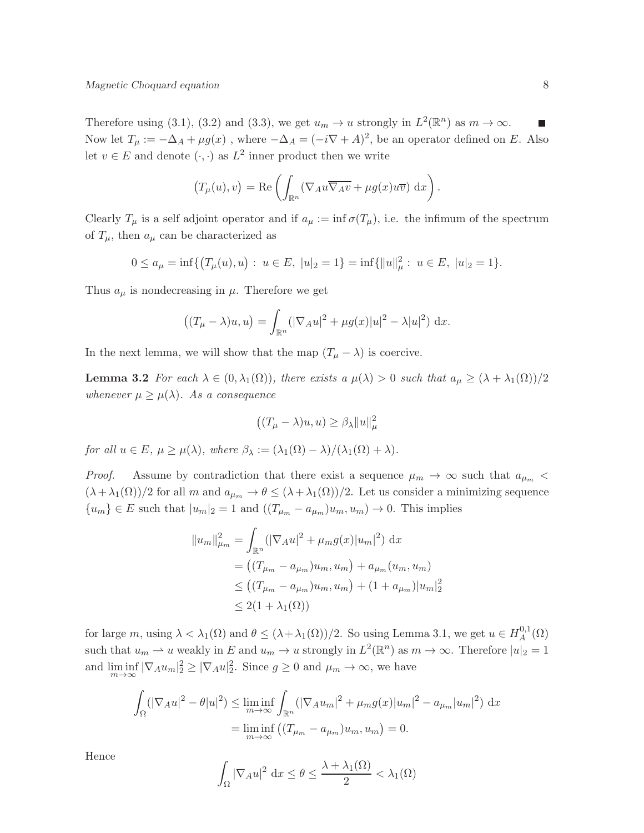Therefore using (3.1), (3.2) and (3.3), we get  $u_m \to u$  strongly in  $L^2(\mathbb{R}^n)$  as  $m \to \infty$ .  $\blacksquare$ Now let  $T_{\mu} := -\Delta_A + \mu g(x)$ , where  $-\Delta_A = (-i\nabla + A)^2$ , be an operator defined on E. Also let  $v \in E$  and denote  $(\cdot, \cdot)$  as  $L^2$  inner product then we write

$$
(T_{\mu}(u), v) = \text{Re}\left(\int_{\mathbb{R}^n} (\nabla_A u \overline{\nabla_A v} + \mu g(x) u \overline{v}) \, dx\right).
$$

Clearly  $T_{\mu}$  is a self adjoint operator and if  $a_{\mu} := \inf \sigma(T_{\mu})$ , i.e. the infimum of the spectrum of  $T_{\mu}$ , then  $a_{\mu}$  can be characterized as

$$
0 \le a_{\mu} = \inf \{ (T_{\mu}(u), u) : u \in E, \ |u|_{2} = 1 \} = \inf \{ ||u||_{\mu}^{2} : u \in E, \ |u|_{2} = 1 \}.
$$

Thus  $a_{\mu}$  is nondecreasing in  $\mu$ . Therefore we get

$$
((T_{\mu}-\lambda)u,u) = \int_{\mathbb{R}^n} (|\nabla_A u|^2 + \mu g(x)|u|^2 - \lambda |u|^2) dx.
$$

In the next lemma, we will show that the map  $(T_{\mu} - \lambda)$  is coercive.

**Lemma 3.2** For each  $\lambda \in (0, \lambda_1(\Omega))$ , there exists a  $\mu(\lambda) > 0$  such that  $a_{\mu} \geq (\lambda + \lambda_1(\Omega))/2$ whenever  $\mu \geq \mu(\lambda)$ . As a consequence

$$
((T_{\mu} - \lambda)u, u) \ge \beta_{\lambda} ||u||_{\mu}^{2}
$$

for all  $u \in E$ ,  $\mu \geq \mu(\lambda)$ , where  $\beta_{\lambda} := (\lambda_1(\Omega) - \lambda)/(\lambda_1(\Omega) + \lambda)$ .

*Proof.* Assume by contradiction that there exist a sequence  $\mu_m \to \infty$  such that  $a_{\mu_m}$  $(\lambda + \lambda_1(\Omega))/2$  for all m and  $a_{\mu_m} \to \theta \le (\lambda + \lambda_1(\Omega))/2$ . Let us consider a minimizing sequence  ${u_m} \in E$  such that  $|u_m|_2 = 1$  and  $({T_{\mu_m} - a_{\mu_m}})u_m, u_m) \to 0$ . This implies

$$
||u_m||_{\mu_m}^2 = \int_{\mathbb{R}^n} (|\nabla_A u|^2 + \mu_m g(x)|u_m|^2) dx
$$
  
=  $((T_{\mu_m} - a_{\mu_m})u_m, u_m) + a_{\mu_m}(u_m, u_m)$   
 $\le ((T_{\mu_m} - a_{\mu_m})u_m, u_m) + (1 + a_{\mu_m})|u_m|$   
 $\le 2(1 + \lambda_1(\Omega))$ 

 $\frac{2}{2}$ 

for large m, using  $\lambda < \lambda_1(\Omega)$  and  $\theta \le (\lambda + \lambda_1(\Omega))/2$ . So using Lemma 3.1, we get  $u \in H_A^{0,1}$  $A^{0,1}(\Omega)$ such that  $u_m \rightharpoonup u$  weakly in E and  $u_m \to u$  strongly in  $L^2(\mathbb{R}^n)$  as  $m \to \infty$ . Therefore  $|u|_2 = 1$ and  $\liminf_{m\to\infty} |\nabla_A u_m|^2 \geq |\nabla_A u|^2$ . Since  $g \geq 0$  and  $\mu_m \to \infty$ , we have

$$
\int_{\Omega} (|\nabla_A u|^2 - \theta |u|^2) \le \liminf_{m \to \infty} \int_{\mathbb{R}^n} (|\nabla_A u_m|^2 + \mu_m g(x) |u_m|^2 - a_{\mu_m} |u_m|^2) dx
$$
  
= 
$$
\liminf_{m \to \infty} ((T_{\mu_m} - a_{\mu_m}) u_m, u_m) = 0.
$$

Hence

$$
\int_{\Omega} |\nabla_A u|^2 \, \mathrm{d}x \le \theta \le \frac{\lambda + \lambda_1(\Omega)}{2} < \lambda_1(\Omega)
$$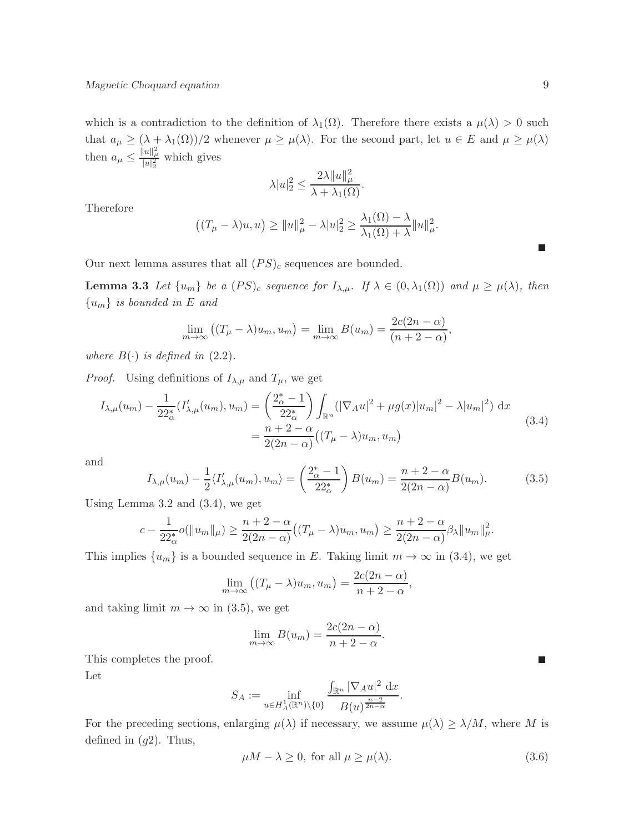which is a contradiction to the definition of  $\lambda_1(\Omega)$ . Therefore there exists a  $\mu(\lambda) > 0$  such that  $a_{\mu} \geq (\lambda + \lambda_1(\Omega))/2$  whenever  $\mu \geq \mu(\lambda)$ . For the second part, let  $u \in E$  and  $\mu \geq \mu(\lambda)$ then  $a_{\mu} \leq \frac{||u||_{\mu}^2}{|u|_2^2}$  which gives

$$
\lambda |u|_2^2 \le \frac{2\lambda \|u\|_{\mu}^2}{\lambda + \lambda_1(\Omega)}.
$$

Therefore

$$
((T_{\mu}-\lambda)u,u)\geq ||u||_{\mu}^{2}-\lambda |u|_{2}^{2}\geq \frac{\lambda_{1}(\Omega)-\lambda}{\lambda_{1}(\Omega)+\lambda}||u||_{\mu}^{2}.
$$

Our next lemma assures that all  $(PS)_c$  sequences are bounded.

**Lemma 3.3** Let  $\{u_m\}$  be a  $(PS)_c$  sequence for  $I_{\lambda,\mu}$ . If  $\lambda \in (0, \lambda_1(\Omega))$  and  $\mu \ge \mu(\lambda)$ , then  ${u<sub>m</sub>}$  is bounded in E and

$$
\lim_{m \to \infty} ((T_{\mu} - \lambda)u_m, u_m) = \lim_{m \to \infty} B(u_m) = \frac{2c(2n - \alpha)}{(n + 2 - \alpha)},
$$

where  $B(\cdot)$  is defined in (2.2).

*Proof.* Using definitions of  $I_{\lambda,\mu}$  and  $T_{\mu}$ , we get

$$
I_{\lambda,\mu}(u_m) - \frac{1}{22_{\alpha}^*} (I'_{\lambda,\mu}(u_m), u_m) = \left(\frac{2_{\alpha}^* - 1}{22_{\alpha}^*}\right) \int_{\mathbb{R}^n} (|\nabla_A u|^2 + \mu g(x)|u_m|^2 - \lambda |u_m|^2) dx
$$
  
= 
$$
\frac{n+2-\alpha}{2(2n-\alpha)} ((T_{\mu} - \lambda)u_m, u_m)
$$
(3.4)

and

$$
I_{\lambda,\mu}(u_m) - \frac{1}{2} \langle I'_{\lambda,\mu}(u_m), u_m \rangle = \left(\frac{2^*_{\alpha} - 1}{22^*_{\alpha}}\right) B(u_m) = \frac{n+2-\alpha}{2(2n-\alpha)} B(u_m). \tag{3.5}
$$

Using Lemma 3.2 and (3.4), we get

$$
c - \frac{1}{22^*_{\alpha}} o(\|u_m\|_{\mu}) \ge \frac{n+2-\alpha}{2(2n-\alpha)} ((T_{\mu} - \lambda)u_m, u_m) \ge \frac{n+2-\alpha}{2(2n-\alpha)} \beta_{\lambda} \|u_m\|_{\mu}^2.
$$

This implies  $\{u_m\}$  is a bounded sequence in E. Taking limit  $m \to \infty$  in (3.4), we get

$$
\lim_{m \to \infty} ((T_{\mu} - \lambda)u_m, u_m) = \frac{2c(2n - \alpha)}{n + 2 - \alpha},
$$

and taking limit  $m \to \infty$  in (3.5), we get

$$
\lim_{m \to \infty} B(u_m) = \frac{2c(2n - \alpha)}{n + 2 - \alpha}.
$$

This completes the proof.

Let

$$
S_A:=\inf_{u\in H^1_A(\mathbb R^n)\backslash\{0\}}\frac{\int_{\mathbb R^n}|\nabla_A u|^2~\mathrm{d}x}{B(u)^{\frac{n-2}{2n-\alpha}}}.
$$

For the preceding sections, enlarging  $\mu(\lambda)$  if necessary, we assume  $\mu(\lambda) \geq \lambda/M$ , where M is defined in  $(g2)$ . Thus,

$$
\mu M - \lambda \ge 0, \text{ for all } \mu \ge \mu(\lambda). \tag{3.6}
$$

 $\overline{\phantom{a}}$ 

 $\mathcal{C}$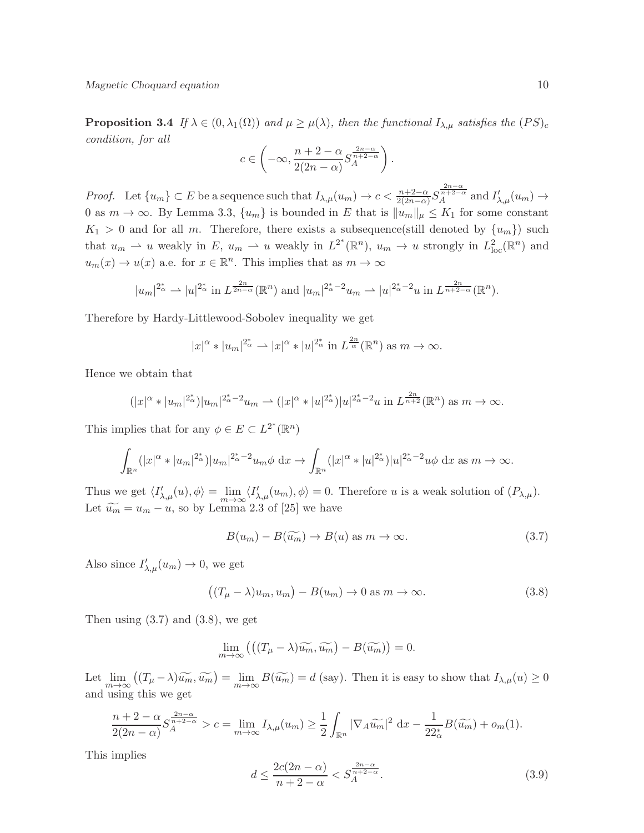**Proposition 3.4** If  $\lambda \in (0, \lambda_1(\Omega))$  and  $\mu \ge \mu(\lambda)$ , then the functional  $I_{\lambda,\mu}$  satisfies the  $(PS)_c$ condition, for all

$$
c\in\left(-\infty,\frac{n+2-\alpha}{2(2n-\alpha)}S_A^{\frac{2n-\alpha}{n+2-\alpha}}\right).
$$

Proof. Let  $\{u_m\} \subset E$  be a sequence such that  $I_{\lambda,\mu}(u_m) \to c < \frac{n+2-\alpha}{2(2n-\alpha)} S_A^{\frac{2n-\alpha}{n+2-\alpha}}$  and  $I'_{\lambda,\mu}(u_m) \to$ 0 as  $m \to \infty$ . By Lemma 3.3,  $\{u_m\}$  is bounded in E that is  $||u_m||_{\mu} \leq K_1$  for some constant  $K_1 > 0$  and for all m. Therefore, there exists a subsequence(still denoted by  $\{u_m\}$ ) such that  $u_m \rightharpoonup u$  weakly in  $E$ ,  $u_m \rightharpoonup u$  weakly in  $L^{2^*}(\mathbb{R}^n)$ ,  $u_m \rightharpoonup u$  strongly in  $L^2_{loc}(\mathbb{R}^n)$  and  $u_m(x) \to u(x)$  a.e. for  $x \in \mathbb{R}^n$ . This implies that as  $m \to \infty$ 

$$
|u_m|^{2^*_{\alpha}} \rightharpoonup |u|^{2^*_{\alpha}}
$$
 in  $L^{\frac{2n}{2n-\alpha}}(\mathbb{R}^n)$  and  $|u_m|^{2^*_{\alpha}-2}u_m \rightharpoonup |u|^{2^*_{\alpha}-2}u$  in  $L^{\frac{2n}{n+2-\alpha}}(\mathbb{R}^n)$ .

Therefore by Hardy-Littlewood-Sobolev inequality we get

$$
|x|^{\alpha} * |u_m|^{2^*_{\alpha}} \rightharpoonup |x|^{\alpha} * |u|^{2^*_{\alpha}} \text{ in } L^{\frac{2n}{\alpha}}(\mathbb{R}^n) \text{ as } m \to \infty.
$$

Hence we obtain that

$$
(|x|^{\alpha} * |u_m|^{2^*_{\alpha}})|u_m|^{2^*_{\alpha}-2}u_m \rightharpoonup (|x|^{\alpha} * |u|^{2^*_{\alpha}})|u|^{2^*_{\alpha}-2}u \text{ in } L^{\frac{2n}{n+2}}(\mathbb{R}^n) \text{ as } m \to \infty.
$$

This implies that for any  $\phi \in E \subset L^{2^*}(\mathbb{R}^n)$ 

$$
\int_{\mathbb{R}^n} (|x|^{\alpha} * |u_m|^{2^*_{\alpha}})|u_m|^{2^*_{\alpha}-2}u_m\phi \,dx \to \int_{\mathbb{R}^n} (|x|^{\alpha} * |u|^{2^*_{\alpha}})|u|^{2^*_{\alpha}-2}u\phi \,dx \text{ as } m \to \infty.
$$

Thus we get  $\langle I'_{\lambda,\mu}(u), \phi \rangle = \lim_{m \to \infty} \langle I'_{\lambda,\mu}(u_m), \phi \rangle = 0$ . Therefore u is a weak solution of  $(P_{\lambda,\mu})$ . Let  $\widetilde{u_m} = u_m - u$ , so by Lemma 2.3 of [25] we have

$$
B(u_m) - B(\widetilde{u_m}) \to B(u) \text{ as } m \to \infty.
$$
 (3.7)

Also since  $I'_{\lambda,\mu}(u_m) \to 0$ , we get

$$
((T_{\mu} - \lambda)u_m, u_m) - B(u_m) \to 0 \text{ as } m \to \infty.
$$
 (3.8)

Then using  $(3.7)$  and  $(3.8)$ , we get

$$
\lim_{m \to \infty} \left( \left( (T_{\mu} - \lambda) \widetilde{u_m}, \widetilde{u_m} \right) - B(\widetilde{u_m}) \right) = 0.
$$

Let  $\lim_{m\to\infty} ((T_\mu - \lambda)\widetilde{u_m}, \widetilde{u_m}) = \lim_{m\to\infty} B(\widetilde{u_m}) = d$  (say). Then it is easy to show that  $I_{\lambda,\mu}(u) \geq 0$ and using this we get

$$
\frac{n+2-\alpha}{2(2n-\alpha)}S_A^{\frac{2n-\alpha}{n+2-\alpha}}>c=\lim_{m\to\infty}I_{\lambda,\mu}(u_m)\geq\frac{1}{2}\int_{\mathbb{R}^n}|\nabla_A\widetilde{u_m}|^2\,\mathrm{d}x-\frac{1}{22_\alpha^*}B(\widetilde{u_m})+o_m(1).
$$

This implies

$$
d \le \frac{2c(2n - \alpha)}{n + 2 - \alpha} < S_A^{\frac{2n - \alpha}{n + 2 - \alpha}}.\tag{3.9}
$$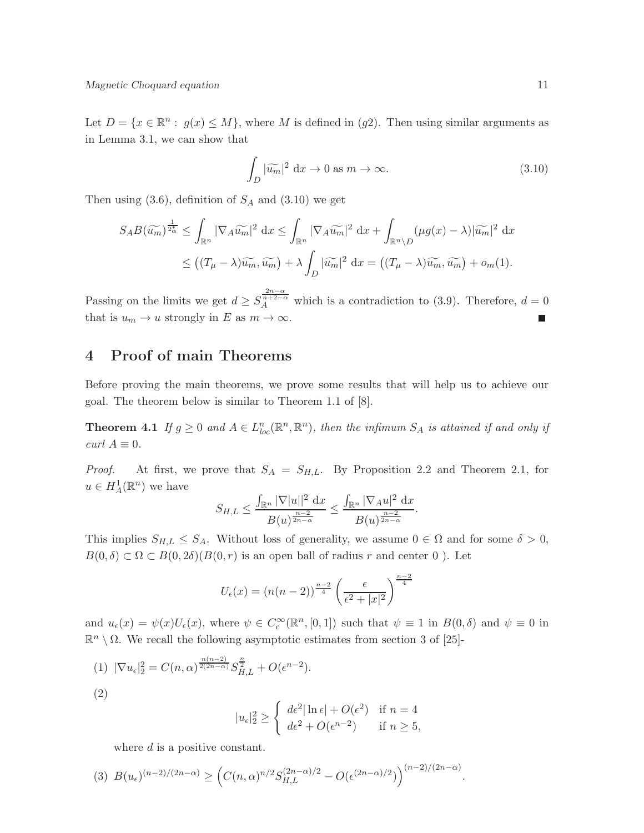Let  $D = \{x \in \mathbb{R}^n : g(x) \leq M\}$ , where M is defined in  $(g2)$ . Then using similar arguments as in Lemma 3.1, we can show that

$$
\int_{D} |\widetilde{u_m}|^2 \, \mathrm{d}x \to 0 \text{ as } m \to \infty. \tag{3.10}
$$

Then using  $(3.6)$ , definition of  $S_A$  and  $(3.10)$  we get

$$
S_{A}B(\widetilde{u_{m}})^{\frac{1}{2_{\alpha}^{\ast}}}\leq \int_{\mathbb{R}^{n}}|\nabla_{A}\widetilde{u_{m}}|^{2} dx\leq \int_{\mathbb{R}^{n}}|\nabla_{A}\widetilde{u_{m}}|^{2} dx+\int_{\mathbb{R}^{n}\setminus D}(\mu g(x)-\lambda)|\widetilde{u_{m}}|^{2} dx
$$
  

$$
\leq ((T_{\mu}-\lambda)\widetilde{u_{m}},\widetilde{u_{m}})+\lambda \int_{D}|\widetilde{u_{m}}|^{2} dx=\left((T_{\mu}-\lambda)\widetilde{u_{m}},\widetilde{u_{m}}\right)+o_{m}(1).
$$

Passing on the limits we get  $d \geq S_A^{\frac{2n-\alpha}{n+2-\alpha}}$  which is a contradiction to (3.9). Therefore,  $d = 0$ that is  $u_m \to u$  strongly in E as  $m \to \infty$ .

# 4 Proof of main Theorems

Before proving the main theorems, we prove some results that will help us to achieve our goal. The theorem below is similar to Theorem 1.1 of [8].

**Theorem 4.1** If  $g \geq 0$  and  $A \in L_{loc}^n(\mathbb{R}^n, \mathbb{R}^n)$ , then the infimum  $S_A$  is attained if and only if  $curl A \equiv 0.$ 

*Proof.* At first, we prove that  $S_A = S_{H,L}$ . By Proposition 2.2 and Theorem 2.1, for  $u \in H^1_A(\mathbb{R}^n)$  we have

$$
S_{H,L} \leq \frac{\int_{\mathbb{R}^n} |\nabla |u||^2 dx}{B(u)^{\frac{n-2}{2n-\alpha}}} \leq \frac{\int_{\mathbb{R}^n} |\nabla_A u|^2 dx}{B(u)^{\frac{n-2}{2n-\alpha}}}.
$$

This implies  $S_{H,L} \leq S_A$ . Without loss of generality, we assume  $0 \in \Omega$  and for some  $\delta > 0$ ,  $B(0, \delta) \subset \Omega \subset B(0, 2\delta)(B(0, r))$  is an open ball of radius r and center 0). Let

$$
U_{\epsilon}(x) = (n(n-2))^{\frac{n-2}{4}} \left(\frac{\epsilon}{\epsilon^2 + |x|^2}\right)^{\frac{n-2}{4}}
$$

and  $u_{\epsilon}(x) = \psi(x)U_{\epsilon}(x)$ , where  $\psi \in C_c^{\infty}(\mathbb{R}^n, [0,1])$  such that  $\psi \equiv 1$  in  $B(0,\delta)$  and  $\psi \equiv 0$  in  $\mathbb{R}^n \setminus \Omega$ . We recall the following asymptotic estimates from section 3 of [25]-

(1) 
$$
|\nabla u_{\epsilon}|_2^2 = C(n, \alpha)^{\frac{n(n-2)}{2(2n-\alpha)}} S_{H,L}^{\frac{n}{2}} + O(\epsilon^{n-2}).
$$

$$
|u_{\epsilon}|_2^2 \ge \begin{cases} d\epsilon^2 |\ln \epsilon| + O(\epsilon^2) & \text{if } n = 4\\ d\epsilon^2 + O(\epsilon^{n-2}) & \text{if } n \ge 5, \end{cases}
$$

where d is a positive constant.

(2)

$$
(3) \ B(u_{\epsilon})^{(n-2)/(2n-\alpha)} \geq \left( C(n,\alpha)^{n/2} S_{H,L}^{(2n-\alpha)/2} - O(\epsilon^{(2n-\alpha)/2}) \right)^{(n-2)/(2n-\alpha)}.
$$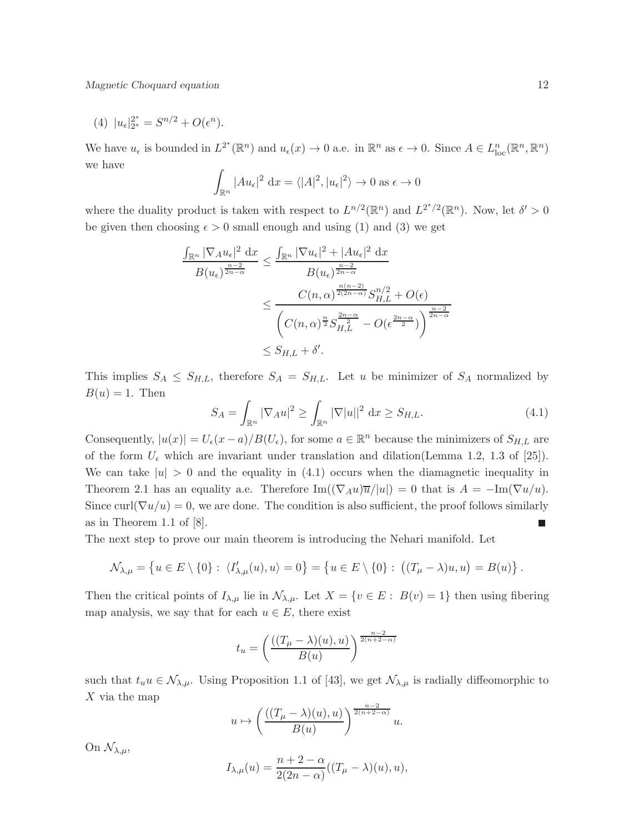Magnetic Choquard equation 12

(4) 
$$
|u_{\epsilon}|_{2^*}^{2^*} = S^{n/2} + O(\epsilon^n)
$$
.

We have  $u_{\epsilon}$  is bounded in  $L^{2^*}(\mathbb{R}^n)$  and  $u_{\epsilon}(x) \to 0$  a.e. in  $\mathbb{R}^n$  as  $\epsilon \to 0$ . Since  $A \in L^n_{loc}(\mathbb{R}^n, \mathbb{R}^n)$ we have

$$
\int_{\mathbb{R}^n} |Au_{\epsilon}|^2 dx = \langle |A|^2, |u_{\epsilon}|^2 \rangle \to 0 \text{ as } \epsilon \to 0
$$

where the duality product is taken with respect to  $L^{n/2}(\mathbb{R}^n)$  and  $L^{2^*/2}(\mathbb{R}^n)$ . Now, let  $\delta' > 0$ be given then choosing  $\epsilon > 0$  small enough and using (1) and (3) we get

$$
\frac{\int_{\mathbb{R}^n} |\nabla_A u_{\epsilon}|^2 dx}{B(u_{\epsilon})^{\frac{n-2}{2n-\alpha}}} \le \frac{\int_{\mathbb{R}^n} |\nabla u_{\epsilon}|^2 + |Au_{\epsilon}|^2 dx}{B(u_{\epsilon})^{\frac{n-2}{2n-\alpha}}} \le \frac{C(n,\alpha)^{\frac{n(n-2)}{2(2n-\alpha)}} S_{H,L}^{n/2} + O(\epsilon)}{\left(C(n,\alpha)^{\frac{n}{2}} S_{H,L}^{\frac{2n-\alpha}{2}} - O(\epsilon^{\frac{2n-\alpha}{2}})\right)^{\frac{n-2}{2n-\alpha}}} \le S_{H,L} + \delta'.
$$

This implies  $S_A \leq S_{H,L}$ , therefore  $S_A = S_{H,L}$ . Let u be minimizer of  $S_A$  normalized by  $B(u) = 1$ . Then

$$
S_A = \int_{\mathbb{R}^n} |\nabla_A u|^2 \ge \int_{\mathbb{R}^n} |\nabla |u||^2 \, \mathrm{d}x \ge S_{H,L}.\tag{4.1}
$$

Consequently,  $|u(x)| = U_{\epsilon}(x-a)/B(U_{\epsilon})$ , for some  $a \in \mathbb{R}^n$  because the minimizers of  $S_{H,L}$  are of the form  $U_{\epsilon}$  which are invariant under translation and dilation(Lemma 1.2, 1.3 of [25]). We can take  $|u| > 0$  and the equality in (4.1) occurs when the diamagnetic inequality in Theorem 2.1 has an equality a.e. Therefore  $\text{Im}((\nabla_A u)\overline{u}/|u|) = 0$  that is  $A = -\text{Im}(\nabla u/u)$ . Since curl( $\nabla u/u$ ) = 0, we are done. The condition is also sufficient, the proof follows similarly as in Theorem 1.1 of [8]. П

The next step to prove our main theorem is introducing the Nehari manifold. Let

$$
\mathcal{N}_{\lambda,\mu} = \left\{ u \in E \setminus \{0\} : \langle I'_{\lambda,\mu}(u), u \rangle = 0 \right\} = \left\{ u \in E \setminus \{0\} : \left( (T_{\mu} - \lambda)u, u \right) = B(u) \right\}.
$$

Then the critical points of  $I_{\lambda,\mu}$  lie in  $\mathcal{N}_{\lambda,\mu}$ . Let  $X = \{v \in E : B(v) = 1\}$  then using fibering map analysis, we say that for each  $u \in E$ , there exist

$$
t_u = \left(\frac{((T_\mu - \lambda)(u), u)}{B(u)}\right)^{\frac{n-2}{2(n+2-\alpha)}}
$$

such that  $t_u u \in \mathcal{N}_{\lambda,\mu}$ . Using Proposition 1.1 of [43], we get  $\mathcal{N}_{\lambda,\mu}$  is radially diffeomorphic to  $X$  via the map

$$
u \mapsto \left(\frac{((T_{\mu} - \lambda)(u), u)}{B(u)}\right)^{\frac{n-2}{2(n+2-\alpha)}} u.
$$

On  $\mathcal{N}_{\lambda,\mu}$ ,

$$
I_{\lambda,\mu}(u) = \frac{n+2-\alpha}{2(2n-\alpha)}((T_{\mu}-\lambda)(u),u),
$$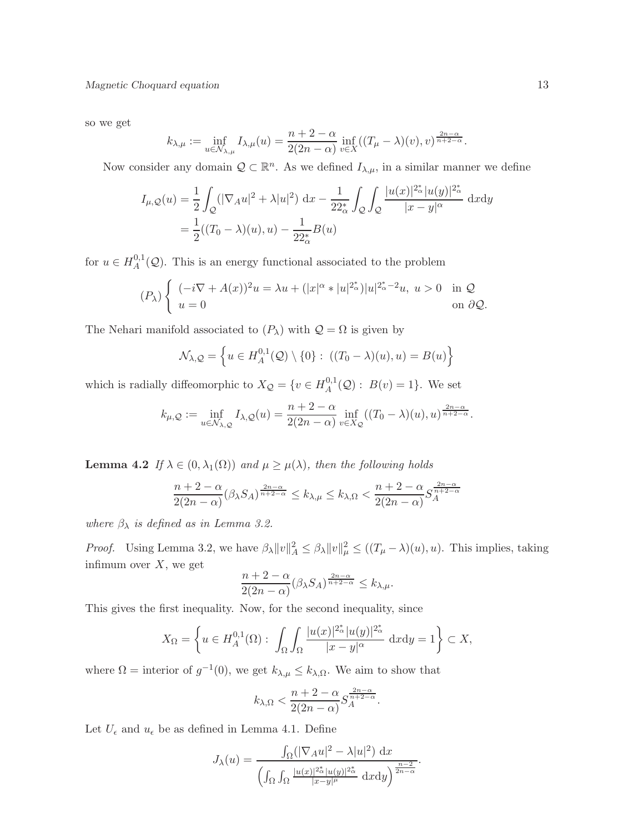so we get

$$
k_{\lambda,\mu} := \inf_{u \in \mathcal{N}_{\lambda,\mu}} I_{\lambda,\mu}(u) = \frac{n+2-\alpha}{2(2n-\alpha)} \inf_{v \in X} ((T_{\mu}-\lambda)(v),v)^{\frac{2n-\alpha}{n+2-\alpha}}.
$$

Now consider any domain  $\mathcal{Q} \subset \mathbb{R}^n$ . As we defined  $I_{\lambda,\mu}$ , in a similar manner we define

$$
I_{\mu,Q}(u) = \frac{1}{2} \int_{Q} (|\nabla_A u|^2 + \lambda |u|^2) dx - \frac{1}{22_{\alpha}^*} \int_{Q} \int_{Q} \frac{|u(x)|^{2_{\alpha}^*} |u(y)|^{2_{\alpha}^*}}{|x - y|^{\alpha}} dxdy
$$
  
=  $\frac{1}{2} ((T_0 - \lambda)(u), u) - \frac{1}{22_{\alpha}^*} B(u)$ 

for  $u \in H_A^{0,1}$  $A^{0,1}_{A}(\mathcal{Q})$ . This is an energy functional associated to the problem

$$
(P_\lambda)\begin{cases} (-i\nabla + A(x))^2 u = \lambda u + (|x|^\alpha * |u|^{2_\alpha^*})|u|^{2_\alpha^* - 2}u, u > 0 & \text{in } \mathcal{Q} \\ u = 0 & \text{on } \partial \mathcal{Q}. \end{cases}
$$

The Nehari manifold associated to  $(P_\lambda)$  with  $Q = \Omega$  is given by

$$
\mathcal{N}_{\lambda,Q} = \left\{ u \in H_A^{0,1}(Q) \setminus \{0\} : ((T_0 - \lambda)(u), u) = B(u) \right\}
$$

which is radially diffeomorphic to  $X_{\mathcal{Q}} = \{v \in H_{\mathcal{A}}^{0,1}\}$  $A^{0,1}(\mathcal{Q}) : B(v) = 1$ . We set

$$
k_{\mu,Q} := \inf_{u \in \mathcal{N}_{\lambda,Q}} I_{\lambda,Q}(u) = \frac{n+2-\alpha}{2(2n-\alpha)} \inf_{v \in X_Q} ((T_0 - \lambda)(u), u)^{\frac{2n-\alpha}{n+2-\alpha}}.
$$

**Lemma 4.2** If  $\lambda \in (0, \lambda_1(\Omega))$  and  $\mu \geq \mu(\lambda)$ , then the following holds

$$
\frac{n+2-\alpha}{2(2n-\alpha)}(\beta_{\lambda}S_{A})^{\frac{2n-\alpha}{n+2-\alpha}}\leq k_{\lambda,\mu}\leq k_{\lambda,\Omega}<\frac{n+2-\alpha}{2(2n-\alpha)}S_{A}^{\frac{2n-\alpha}{n+2-\alpha}}
$$

where  $\beta_{\lambda}$  is defined as in Lemma 3.2.

*Proof.* Using Lemma 3.2, we have  $\beta_{\lambda} ||v||_A^2 \leq \beta_{\lambda} ||v||_{\mu}^2 \leq ((T_{\mu} - \lambda)(u), u)$ . This implies, taking infimum over  $X$ , we get

$$
\frac{n+2-\alpha}{2(2n-\alpha)}(\beta_{\lambda}S_A)^{\frac{2n-\alpha}{n+2-\alpha}} \le k_{\lambda,\mu}.
$$

This gives the first inequality. Now, for the second inequality, since

$$
X_{\Omega} = \left\{ u \in H_A^{0,1}(\Omega) : \int_{\Omega} \int_{\Omega} \frac{|u(x)|^{2_{\alpha}^{\ast}} |u(y)|^{2_{\alpha}^{\ast}}}{|x - y|^{\alpha}} dxdy = 1 \right\} \subset X,
$$

where  $\Omega =$  interior of  $g^{-1}(0)$ , we get  $k_{\lambda,\mu} \leq k_{\lambda,\Omega}$ . We aim to show that

$$
k_{\lambda,\Omega} < \frac{n+2-\alpha}{2(2n-\alpha)} S_A^{\frac{2n-\alpha}{n+2-\alpha}}.
$$

Let  $U_\epsilon$  and  $u_\epsilon$  be as defined in Lemma 4.1. Define

$$
J_{\lambda}(u) = \frac{\int_{\Omega} (|\nabla_{A} u|^2 - \lambda |u|^2) dx}{\left( \int_{\Omega} \int_{\Omega} \frac{|u(x)|^{2^*_{\alpha}} |u(y)|^{2^*_{\alpha}}}{|x - y|^{\mu}} dx dy \right)^{\frac{n-2}{2n - \alpha}}}
$$

.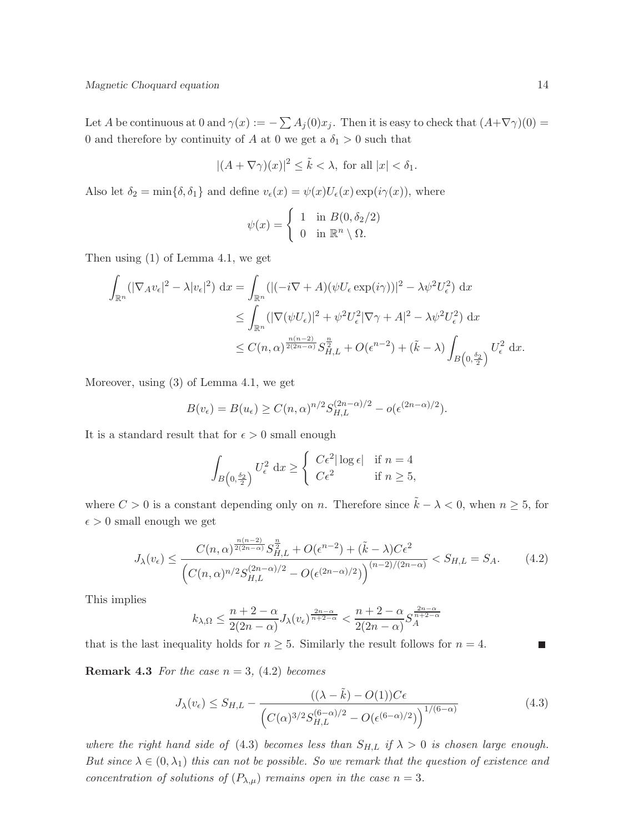Let A be continuous at 0 and  $\gamma(x) := -\sum A_j(0)x_j$ . Then it is easy to check that  $(A+\nabla \gamma)(0) =$ 0 and therefore by continuity of A at 0 we get a  $\delta_1 > 0$  such that

$$
|(A + \nabla \gamma)(x)|^2 \le \tilde{k} < \lambda, \text{ for all } |x| < \delta_1.
$$

Also let  $\delta_2 = \min\{\delta, \delta_1\}$  and define  $v_{\epsilon}(x) = \psi(x)U_{\epsilon}(x) \exp(i\gamma(x))$ , where

$$
\psi(x) = \begin{cases} 1 & \text{in } B(0, \delta_2/2) \\ 0 & \text{in } \mathbb{R}^n \setminus \Omega. \end{cases}
$$

Then using (1) of Lemma 4.1, we get

$$
\int_{\mathbb{R}^n} (|\nabla_A v_{\epsilon}|^2 - \lambda |v_{\epsilon}|^2) dx = \int_{\mathbb{R}^n} (|(-i\nabla + A)(\psi U_{\epsilon} \exp(i\gamma))|^2 - \lambda \psi^2 U_{\epsilon}^2) dx
$$
  
\n
$$
\leq \int_{\mathbb{R}^n} (|\nabla(\psi U_{\epsilon})|^2 + \psi^2 U_{\epsilon}^2 |\nabla \gamma + A|^2 - \lambda \psi^2 U_{\epsilon}^2) dx
$$
  
\n
$$
\leq C(n, \alpha)^{\frac{n(n-2)}{2(2n-\alpha)}} S_{H,L}^{\frac{n}{2}} + O(\epsilon^{n-2}) + (\tilde{k} - \lambda) \int_{B\left(0, \frac{\delta_2}{2}\right)} U_{\epsilon}^2 dx.
$$

Moreover, using (3) of Lemma 4.1, we get

$$
B(v_{\epsilon}) = B(u_{\epsilon}) \ge C(n,\alpha)^{n/2} S_{H,L}^{(2n-\alpha)/2} - o(\epsilon^{(2n-\alpha)/2}).
$$

It is a standard result that for  $\epsilon > 0$  small enough

$$
\int_{B\left(0,\frac{\delta_2}{2}\right)} U_{\epsilon}^2 \, \mathrm{d}x \ge \begin{cases} C\epsilon^2 |\log \epsilon| & \text{if } n = 4\\ C\epsilon^2 & \text{if } n \ge 5, \end{cases}
$$

where  $C > 0$  is a constant depending only on n. Therefore since  $\tilde{k} - \lambda < 0$ , when  $n \geq 5$ , for  $\epsilon > 0$  small enough we get

$$
J_{\lambda}(v_{\epsilon}) \leq \frac{C(n,\alpha)^{\frac{n(n-2)}{2(2n-\alpha)}} S_{H,L}^{\frac{n}{2}} + O(\epsilon^{n-2}) + (\tilde{k} - \lambda)C\epsilon^2}{\left(C(n,\alpha)^{n/2} S_{H,L}^{(2n-\alpha)/2} - O(\epsilon^{(2n-\alpha)/2})\right)^{(n-2)/(2n-\alpha)}} < S_{H,L} = S_A.
$$
 (4.2)

This implies

$$
k_{\lambda,\Omega} \le \frac{n+2-\alpha}{2(2n-\alpha)} J_{\lambda}(v_{\epsilon})^{\frac{2n-\alpha}{n+2-\alpha}} < \frac{n+2-\alpha}{2(2n-\alpha)} S_{A}^{\frac{2n-\alpha}{n+2-\alpha}}
$$

that is the last inequality holds for  $n \geq 5$ . Similarly the result follows for  $n = 4$ .

**Remark 4.3** For the case  $n = 3$ , (4.2) becomes

$$
J_{\lambda}(v_{\epsilon}) \le S_{H,L} - \frac{((\lambda - \tilde{k}) - O(1))C\epsilon}{\left(C(\alpha)^{3/2}S_{H,L}^{(6-\alpha)/2} - O(\epsilon^{(6-\alpha)/2})\right)^{1/(6-\alpha)}}\tag{4.3}
$$

where the right hand side of (4.3) becomes less than  $S_{H,L}$  if  $\lambda > 0$  is chosen large enough. But since  $\lambda \in (0, \lambda_1)$  this can not be possible. So we remark that the question of existence and concentration of solutions of  $(P_{\lambda,\mu})$  remains open in the case  $n=3$ .

Ш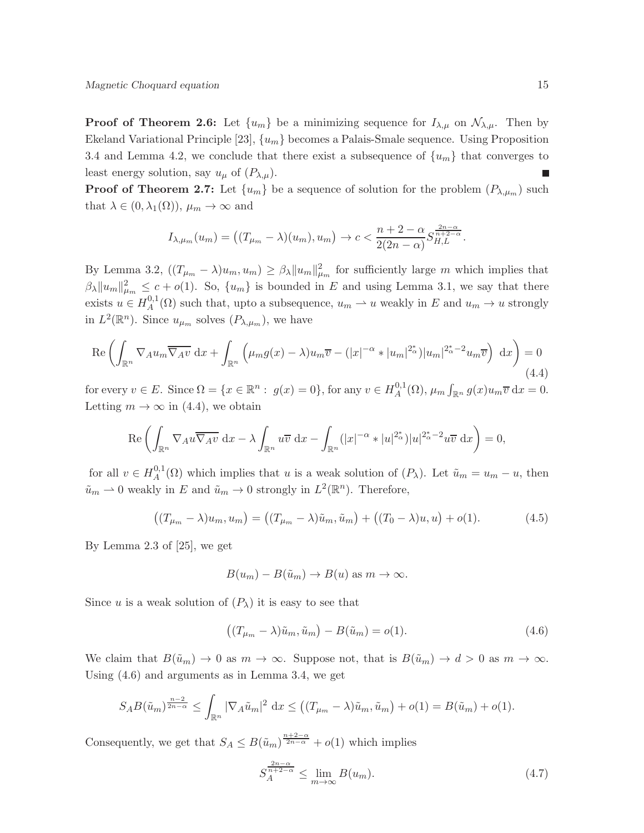**Proof of Theorem 2.6:** Let  $\{u_m\}$  be a minimizing sequence for  $I_{\lambda,\mu}$  on  $\mathcal{N}_{\lambda,\mu}$ . Then by Ekeland Variational Principle [23],  $\{u_m\}$  becomes a Palais-Smale sequence. Using Proposition 3.4 and Lemma 4.2, we conclude that there exist a subsequence of  $\{u_m\}$  that converges to least energy solution, say  $u_{\mu}$  of  $(P_{\lambda,\mu})$ .

**Proof of Theorem 2.7:** Let  $\{u_m\}$  be a sequence of solution for the problem  $(P_{\lambda,\mu_m})$  such that  $\lambda \in (0, \lambda_1(\Omega)), \mu_m \to \infty$  and

$$
I_{\lambda,\mu_m}(u_m) = \left( (T_{\mu_m} - \lambda)(u_m), u_m \right) \to c < \frac{n+2-\alpha}{2(2n-\alpha)} S_{H,L}^{\frac{2n-\alpha}{n+2-\alpha}}.
$$

By Lemma 3.2,  $((T_{\mu_m} - \lambda)u_m, u_m) \geq \beta_\lambda \|u_m\|_{\mu_m}^2$  for sufficiently large m which implies that  $\beta_{\lambda} ||u_m||_{\mu_m}^2 \leq c + o(1)$ . So,  $\{u_m\}$  is bounded in E and using Lemma 3.1, we say that there exists  $u \in H_A^{0,1}$  $\mathcal{L}_A^{0,1}(\Omega)$  such that, upto a subsequence,  $u_m \to u$  weakly in E and  $u_m \to u$  strongly in  $L^2(\mathbb{R}^n)$ . Since  $u_{\mu_m}$  solves  $(P_{\lambda,\mu_m})$ , we have

$$
\operatorname{Re}\left(\int_{\mathbb{R}^n} \nabla_A u_m \overline{\nabla_A v} \, \mathrm{d}x + \int_{\mathbb{R}^n} \left(\mu_m g(x) - \lambda \right) u_m \overline{v} - (|x|^{-\alpha} * |u_m|^{2^*_{\alpha}}) |u_m|^{2^*_{\alpha} - 2} u_m \overline{v}\right) \, \mathrm{d}x\right) = 0
$$
\n(4.4)

for every  $v \in E$ . Since  $\Omega = \{x \in \mathbb{R}^n : g(x) = 0\}$ , for any  $v \in H_A^{0,1}$  $\int_A^{0,1}(\Omega), \mu_m \int_{\mathbb{R}^n} g(x)u_m \overline{v} \,dx = 0.$ Letting  $m \to \infty$  in (4.4), we obtain

$$
\operatorname{Re}\left(\int_{\mathbb{R}^n} \nabla_A u \overline{\nabla_A v} \, \mathrm{d}x - \lambda \int_{\mathbb{R}^n} u \overline{v} \, \mathrm{d}x - \int_{\mathbb{R}^n} (|x|^{-\alpha} * |u|^{2^*_{\alpha}})|u|^{2^*_{\alpha}-2} u \overline{v} \, \mathrm{d}x\right) = 0,
$$

for all  $v \in H_A^{0,1}$  $\tilde{u}_A^{0,1}(\Omega)$  which implies that u is a weak solution of  $(P_\lambda)$ . Let  $\tilde{u}_m = u_m - u$ , then  $\tilde{u}_m \rightharpoonup 0$  weakly in E and  $\tilde{u}_m \to 0$  strongly in  $L^2(\mathbb{R}^n)$ . Therefore,

$$
((T_{\mu_m} - \lambda)u_m, u_m) = ((T_{\mu_m} - \lambda)\tilde{u}_m, \tilde{u}_m) + ((T_0 - \lambda)u, u) + o(1).
$$
 (4.5)

By Lemma 2.3 of [25], we get

$$
B(u_m) - B(\tilde{u}_m) \to B(u) \text{ as } m \to \infty.
$$

Since u is a weak solution of  $(P_\lambda)$  it is easy to see that

$$
((T_{\mu_m} - \lambda)\tilde{u}_m, \tilde{u}_m) - B(\tilde{u}_m) = o(1).
$$
\n(4.6)

We claim that  $B(\tilde{u}_m) \to 0$  as  $m \to \infty$ . Suppose not, that is  $B(\tilde{u}_m) \to d > 0$  as  $m \to \infty$ . Using (4.6) and arguments as in Lemma 3.4, we get

$$
SAB(\tilde{u}_m)^{\frac{n-2}{2n-\alpha}} \leq \int_{\mathbb{R}^n} |\nabla_A \tilde{u}_m|^2 dx \leq ((T_{\mu_m} - \lambda)\tilde{u}_m, \tilde{u}_m) + o(1) = B(\tilde{u}_m) + o(1).
$$

Consequently, we get that  $S_A \leq B(\tilde{u}_m)^{\frac{n+2-\alpha}{2n-\alpha}} + o(1)$  which implies

$$
S_A^{\frac{2n-\alpha}{n+2-\alpha}} \le \lim_{m \to \infty} B(u_m). \tag{4.7}
$$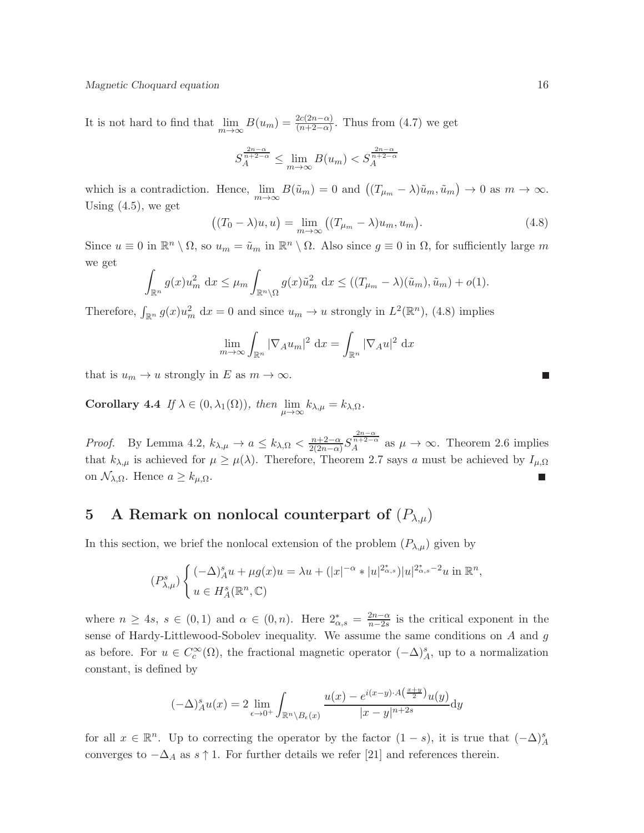#### Magnetic Choquard equation 16

It is not hard to find that  $\lim_{m\to\infty} B(u_m) = \frac{2c(2n-\alpha)}{(n+2-\alpha)}$ . Thus from (4.7) we get

$$
S_A^{\frac{2n-\alpha}{n+2-\alpha}} \le \lim_{m \to \infty} B(u_m) < S_A^{\frac{2n-\alpha}{n+2-\alpha}}
$$

which is a contradiction. Hence,  $\lim_{m\to\infty} B(\tilde{u}_m) = 0$  and  $((T_{\mu_m} - \lambda)\tilde{u}_m, \tilde{u}_m) \to 0$  as  $m \to \infty$ . Using  $(4.5)$ , we get

$$
((T_0 - \lambda)u, u) = \lim_{m \to \infty} ((T_{\mu_m} - \lambda)u_m, u_m).
$$
\n(4.8)

Since  $u \equiv 0$  in  $\mathbb{R}^n \setminus \Omega$ , so  $u_m = \tilde{u}_m$  in  $\mathbb{R}^n \setminus \Omega$ . Also since  $g \equiv 0$  in  $\Omega$ , for sufficiently large m we get

$$
\int_{\mathbb{R}^n} g(x) u_m^2 dx \le \mu_m \int_{\mathbb{R}^n \setminus \Omega} g(x) \tilde{u}_m^2 dx \le ((T_{\mu_m} - \lambda)(\tilde{u}_m), \tilde{u}_m) + o(1).
$$

Therefore,  $\int_{\mathbb{R}^n} g(x)u_m^2 dx = 0$  and since  $u_m \to u$  strongly in  $L^2(\mathbb{R}^n)$ , (4.8) implies

$$
\lim_{m \to \infty} \int_{\mathbb{R}^n} |\nabla_A u_m|^2 \, \mathrm{d}x = \int_{\mathbb{R}^n} |\nabla_A u|^2 \, \mathrm{d}x
$$

that is  $u_m \to u$  strongly in E as  $m \to \infty$ .

Corollary 4.4 If  $\lambda \in (0, \lambda_1(\Omega))$ , then  $\lim_{\mu \to \infty} k_{\lambda,\mu} = k_{\lambda,\Omega}$ .

*Proof.* By Lemma 4.2,  $k_{\lambda,\mu} \to a \leq k_{\lambda,\Omega} < \frac{n+2-\alpha}{2(2n-\alpha)}$  $\frac{n+2-\alpha}{2(2n-\alpha)}S_A^{\frac{2n-\alpha}{n+2-\alpha}}$  as  $\mu \to \infty$ . Theorem 2.6 implies that  $k_{\lambda,\mu}$  is achieved for  $\mu \geq \mu(\lambda)$ . Therefore, Theorem 2.7 says a must be achieved by  $I_{\mu,\Omega}$ on  $\mathcal{N}_{\lambda,\Omega}$ . Hence  $a \geq k_{\mu,\Omega}$ .

# 5 A Remark on nonlocal counterpart of  $(P_{\lambda,\mu})$

In this section, we brief the nonlocal extension of the problem  $(P_{\lambda,\mu})$  given by

$$
(P_{\lambda,\mu}^s) \begin{cases} (-\Delta)_A^s u + \mu g(x)u = \lambda u + (|x|^{-\alpha} * |u|^{2^*_{\alpha,s}})|u|^{2^*_{\alpha,s}-2}u \text{ in } \mathbb{R}^n, \\ u \in H_A^s(\mathbb{R}^n, \mathbb{C}) \end{cases}
$$

where  $n \ge 4s$ ,  $s \in (0,1)$  and  $\alpha \in (0,n)$ . Here  $2^*_{\alpha,s} = \frac{2n-\alpha}{n-2s}$  $\frac{2n-\alpha}{n-2s}$  is the critical exponent in the sense of Hardy-Littlewood-Sobolev inequality. We assume the same conditions on  $A$  and  $g$ as before. For  $u \in C_c^{\infty}(\Omega)$ , the fractional magnetic operator  $(-\Delta)_A^s$ , up to a normalization constant, is defined by

$$
(-\Delta)_A^s u(x) = 2 \lim_{\epsilon \to 0^+} \int_{\mathbb{R}^n \setminus B_{\epsilon}(x)} \frac{u(x) - e^{i(x-y)\cdot A\left(\frac{x+y}{2}\right)} u(y)}{|x - y|^{n+2s}} dy
$$

for all  $x \in \mathbb{R}^n$ . Up to correcting the operator by the factor  $(1-s)$ , it is true that  $(-\Delta)^s_A$ converges to  $-\Delta_A$  as  $s \uparrow 1$ . For further details we refer [21] and references therein.

 $\Box$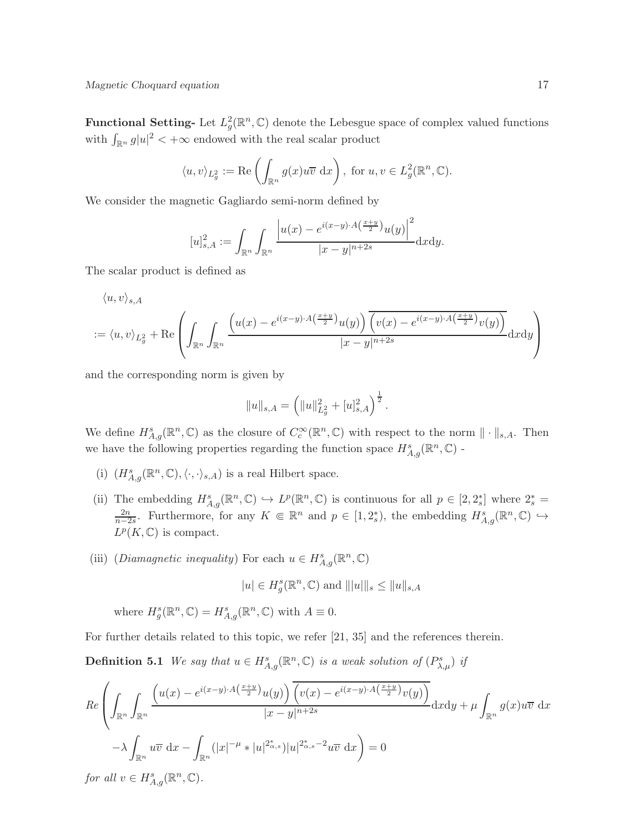**Functional Setting-** Let  $L_g^2(\mathbb{R}^n, \mathbb{C})$  denote the Lebesgue space of complex valued functions with  $\int_{\mathbb{R}^n} g|u|^2 < +\infty$  endowed with the real scalar product

$$
\langle u, v \rangle_{L_g^2} := \text{Re}\left(\int_{\mathbb{R}^n} g(x)u\overline{v} \,dx\right)
$$
, for  $u, v \in L_g^2(\mathbb{R}^n, \mathbb{C})$ .

We consider the magnetic Gagliardo semi-norm defined by

$$
[u]_{s,A}^{2} := \int_{\mathbb{R}^{n}} \int_{\mathbb{R}^{n}} \frac{\left| u(x) - e^{i(x-y)\cdot A\left(\frac{x+y}{2}\right)} u(y) \right|^{2}}{|x-y|^{n+2s}} dx dy.
$$

The scalar product is defined as

$$
\langle u, v \rangle_{s, A}
$$
  
 :=  $\langle u, v \rangle_{L_g^2}$  + Re $\left( \int_{\mathbb{R}^n} \int_{\mathbb{R}^n} \frac{\left( u(x) - e^{i(x-y) \cdot A\left(\frac{x+y}{2}\right)} u(y) \right) \overline{\left( v(x) - e^{i(x-y) \cdot A\left(\frac{x+y}{2}\right)} v(y) \right)}}{|x - y|^{n+2s}} dx dy \right)$ 

and the corresponding norm is given by

$$
||u||_{s,A} = \left(||u||_{L_g^2}^2 + [u]_{s,A}^2\right)^{\frac{1}{2}}.
$$

We define  $H_{A,g}^{s}(\mathbb{R}^n,\mathbb{C})$  as the closure of  $C_c^{\infty}(\mathbb{R}^n,\mathbb{C})$  with respect to the norm  $\|\cdot\|_{s,A}$ . Then we have the following properties regarding the function space  $H_{A,g}^s(\mathbb{R}^n,\mathbb{C})$  -

- (i)  $(H^s_{A,g}(\mathbb{R}^n,\mathbb{C}),\langle\cdot,\cdot\rangle_{s,A})$  is a real Hilbert space.
- (ii) The embedding  $H_{A,g}^s(\mathbb{R}^n,\mathbb{C}) \hookrightarrow L^p(\mathbb{R}^n,\mathbb{C})$  is continuous for all  $p \in [2,2_s^*]$  where  $2_s^* =$  $\frac{2n}{n-2s}$ . Furthermore, for any  $K \in \mathbb{R}^n$  and  $p \in [1, 2_s^*)$ , the embedding  $H_{A,g}^s(\mathbb{R}^n, \mathbb{C}) \hookrightarrow$  $L^p(K,\mathbb{C})$  is compact.
- (iii) (Diamagnetic inequality) For each  $u \in H_{A,g}^s(\mathbb{R}^n, \mathbb{C})$

$$
|u| \in H_g^s(\mathbb{R}^n, \mathbb{C})
$$
 and  $|||u|||_s \leq ||u||_{s,A}$ 

where  $H_g^s(\mathbb{R}^n, \mathbb{C}) = H_{A,g}^s(\mathbb{R}^n, \mathbb{C})$  with  $A \equiv 0$ .

For further details related to this topic, we refer [21, 35] and the references therein.

**Definition 5.1** We say that  $u \in H_{A,g}^s(\mathbb{R}^n, \mathbb{C})$  is a weak solution of  $(P_{\lambda,\mu}^s)$  if

$$
Re\left(\int_{\mathbb{R}^n}\int_{\mathbb{R}^n}\frac{\left(u(x)-e^{i(x-y)\cdot A\left(\frac{x+y}{2}\right)}u(y)\right)\overline{\left(v(x)-e^{i(x-y)\cdot A\left(\frac{x+y}{2}\right)}v(y)\right)}}{|x-y|^{n+2s}}\mathrm{d}x\mathrm{d}y+\mu\int_{\mathbb{R}^n}g(x)u\overline{v}\,\mathrm{d}x\right)
$$

$$
-\lambda\int_{\mathbb{R}^n}u\overline{v}\,\mathrm{d}x-\int_{\mathbb{R}^n}(|x|^{-\mu}*|u|^{2^*_{\alpha,s}})|u|^{2^*_{\alpha,s}-2}u\overline{v}\,\mathrm{d}x\right)=0
$$

for all  $v \in H_{A,g}^s(\mathbb{R}^n, \mathbb{C})$ .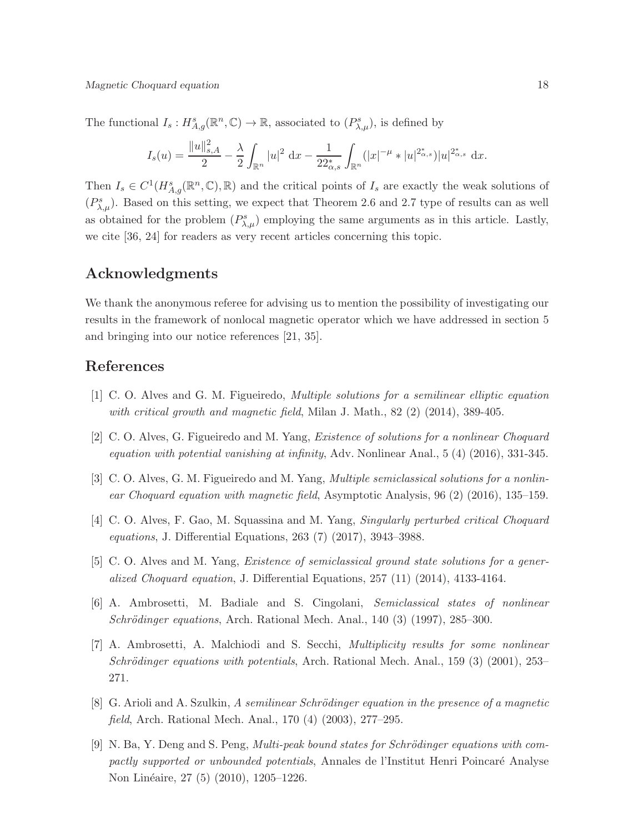The functional  $I_s: H^s_{A,g}(\mathbb{R}^n, \mathbb{C}) \to \mathbb{R}$ , associated to  $(P^s_{\lambda,\mu})$ , is defined by

$$
I_s(u) = \frac{\|u\|_{s,A}^2}{2} - \frac{\lambda}{2} \int_{\mathbb{R}^n} |u|^2 \, \mathrm{d}x - \frac{1}{22_{\alpha,s}^*} \int_{\mathbb{R}^n} (|x|^{-\mu} * |u|^{2_{\alpha,s}^*}) |u|^{2_{\alpha,s}^*} \, \mathrm{d}x.
$$

Then  $I_s \in C^1(H^s_{A,g}(\mathbb{R}^n,\mathbb{C}),\mathbb{R})$  and the critical points of  $I_s$  are exactly the weak solutions of  $(P_{\lambda,\mu}^s)$ . Based on this setting, we expect that Theorem 2.6 and 2.7 type of results can as well as obtained for the problem  $(P_{\lambda,\mu}^s)$  employing the same arguments as in this article. Lastly, we cite [36, 24] for readers as very recent articles concerning this topic.

### Acknowledgments

We thank the anonymous referee for advising us to mention the possibility of investigating our results in the framework of nonlocal magnetic operator which we have addressed in section 5 and bringing into our notice references [21, 35].

# References

- [1] C. O. Alves and G. M. Figueiredo, Multiple solutions for a semilinear elliptic equation with critical growth and magnetic field, Milan J. Math., 82 (2) (2014), 389-405.
- [2] C. O. Alves, G. Figueiredo and M. Yang, Existence of solutions for a nonlinear Choquard equation with potential vanishing at infinity, Adv. Nonlinear Anal., 5 (4) (2016), 331-345.
- [3] C. O. Alves, G. M. Figueiredo and M. Yang, *Multiple semiclassical solutions for a nonlin*ear Choquard equation with magnetic field, Asymptotic Analysis, 96 (2) (2016), 135–159.
- [4] C. O. Alves, F. Gao, M. Squassina and M. Yang, Singularly perturbed critical Choquard equations, J. Differential Equations, 263 (7) (2017), 3943–3988.
- [5] C. O. Alves and M. Yang, Existence of semiclassical ground state solutions for a generalized Choquard equation, J. Differential Equations,  $257(11)(2014)$ ,  $4133-4164$ .
- [6] A. Ambrosetti, M. Badiale and S. Cingolani, Semiclassical states of nonlinear  $Schrödinger equations, Arch. Rational Mechan, Anal., 140 (3) (1997), 285-300.$
- [7] A. Ambrosetti, A. Malchiodi and S. Secchi, Multiplicity results for some nonlinear Schrödinger equations with potentials, Arch. Rational Mech. Anal., 159  $(3)$   $(2001)$ , 253– 271.
- [8] G. Arioli and A. Szulkin, A semilinear Schrödinger equation in the presence of a magnetic field, Arch. Rational Mech. Anal., 170 (4) (2003), 277–295.
- $[9]$  N. Ba, Y. Deng and S. Peng, *Multi-peak bound states for Schrödinger equations with com*pactly supported or unbounded potentials, Annales de l'Institut Henri Poincaré Analyse Non Linéaire, 27 (5) (2010), 1205–1226.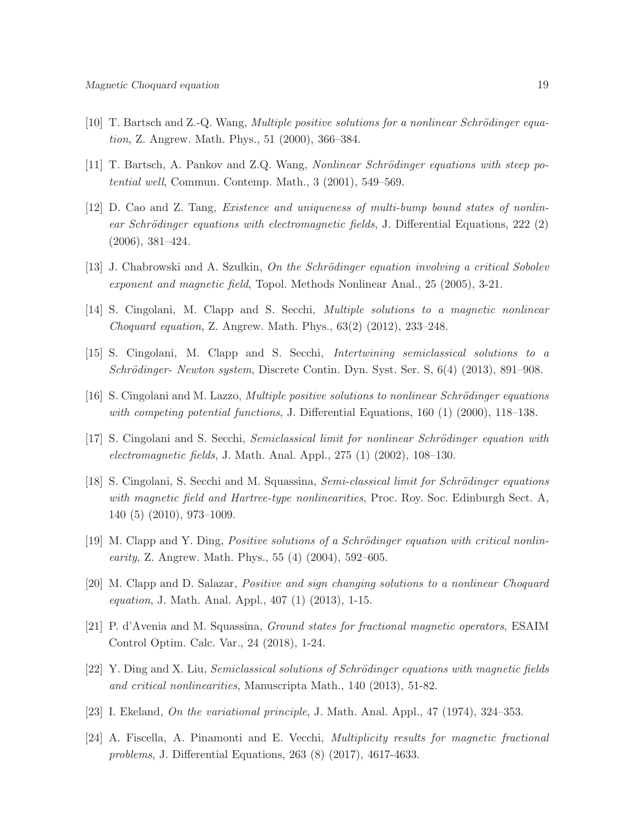- [10] T. Bartsch and Z.-Q. Wang, *Multiple positive solutions for a nonlinear Schrödinger equa*tion, Z. Angrew. Math. Phys., 51 (2000), 366–384.
- [11] T. Bartsch, A. Pankov and Z.Q. Wang, Nonlinear Schrödinger equations with steep potential well, Commun. Contemp. Math., 3 (2001), 549–569.
- [12] D. Cao and Z. Tang, Existence and uniqueness of multi-bump bound states of nonlinear Schrödinger equations with electromagnetic fields, J. Differential Equations, 222 (2) (2006), 381–424.
- [13] J. Chabrowski and A. Szulkin, On the Schrödinger equation involving a critical Sobolev exponent and magnetic field, Topol. Methods Nonlinear Anal., 25 (2005), 3-21.
- [14] S. Cingolani, M. Clapp and S. Secchi, Multiple solutions to a magnetic nonlinear Choquard equation, Z. Angrew. Math. Phys., 63(2) (2012), 233–248.
- [15] S. Cingolani, M. Clapp and S. Secchi, Intertwining semiclassical solutions to a  $Schrödinger- Newton system$ , Discrete Contin. Dyn. Syst. Ser. S,  $6(4)$  (2013), 891–908.
- [16] S. Cingolani and M. Lazzo, *Multiple positive solutions to nonlinear Schrödinger equations* with competing potential functions, J. Differential Equations, 160 (1) (2000), 118–138.
- [17] S. Cingolani and S. Secchi, Semiclassical limit for nonlinear Schrödinger equation with electromagnetic fields, J. Math. Anal. Appl., 275 (1) (2002), 108–130.
- [18] S. Cingolani, S. Secchi and M. Squassina, Semi-classical limit for Schrödinger equations with magnetic field and Hartree-type nonlinearities, Proc. Roy. Soc. Edinburgh Sect. A, 140 (5) (2010), 973–1009.
- [19] M. Clapp and Y. Ding, *Positive solutions of a Schrödinger equation with critical nonlinearity*, Z. Angrew. Math. Phys., 55  $(4)$   $(2004)$ , 592–605.
- [20] M. Clapp and D. Salazar, Positive and sign changing solutions to a nonlinear Choquard equation, J. Math. Anal. Appl., 407 (1) (2013), 1-15.
- [21] P. d'Avenia and M. Squassina, Ground states for fractional magnetic operators, ESAIM Control Optim. Calc. Var., 24 (2018), 1-24.
- $[22]$  Y. Ding and X. Liu, Semiclassical solutions of Schrödinger equations with magnetic fields and critical nonlinearities, Manuscripta Math., 140 (2013), 51-82.
- [23] I. Ekeland, On the variational principle, J. Math. Anal. Appl.,  $47$  (1974),  $324-353$ .
- [24] A. Fiscella, A. Pinamonti and E. Vecchi, Multiplicity results for magnetic fractional problems, J. Differential Equations, 263 (8) (2017), 4617-4633.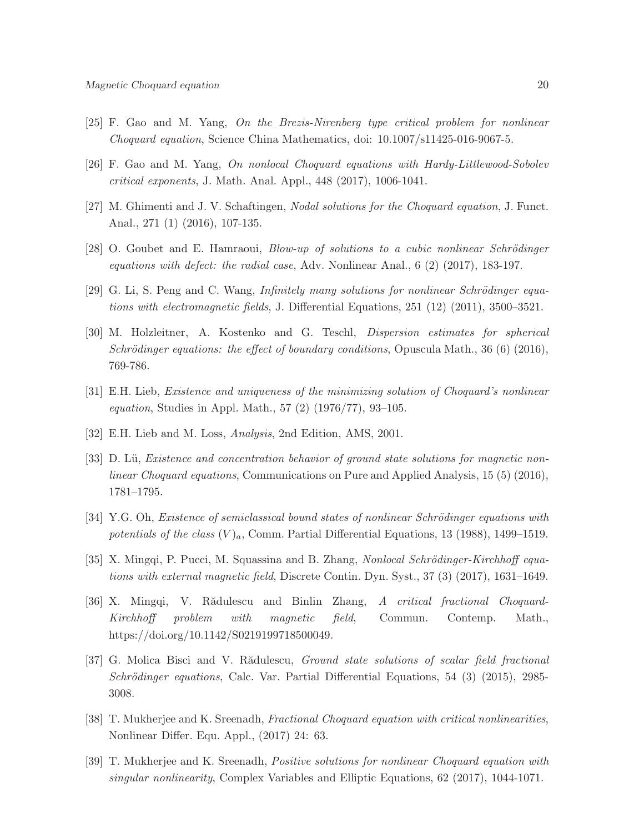- [25] F. Gao and M. Yang, On the Brezis-Nirenberg type critical problem for nonlinear Choquard equation, Science China Mathematics, doi: 10.1007/s11425-016-9067-5.
- [26] F. Gao and M. Yang, On nonlocal Choquard equations with Hardy-Littlewood-Sobolev critical exponents, J. Math. Anal. Appl., 448 (2017), 1006-1041.
- [27] M. Ghimenti and J. V. Schaftingen, Nodal solutions for the Choquard equation, J. Funct. Anal., 271 (1) (2016), 107-135.
- $[28]$  O. Goubet and E. Hamraoui, *Blow-up of solutions to a cubic nonlinear Schrödinger* equations with defect: the radial case, Adv. Nonlinear Anal., 6 (2) (2017), 183-197.
- [29] G. Li, S. Peng and C. Wang, Infinitely many solutions for nonlinear Schrödinger equations with electromagnetic fields, J. Differential Equations, 251 (12) (2011), 3500–3521.
- [30] M. Holzleitner, A. Kostenko and G. Teschl, Dispersion estimates for spherical Schrödinger equations: the effect of boundary conditions, Opuscula Math., 36 (6) (2016), 769-786.
- [31] E.H. Lieb, Existence and uniqueness of the minimizing solution of Choquard's nonlinear *equation*, Studies in Appl. Math., 57  $(2)$   $(1976/77)$ , 93-105.
- [32] E.H. Lieb and M. Loss, Analysis, 2nd Edition, AMS, 2001.
- [33] D. Lü, Existence and concentration behavior of ground state solutions for magnetic nonlinear Choquard equations, Communications on Pure and Applied Analysis, 15 (5) (2016), 1781–1795.
- [34] Y.G. Oh, Existence of semiclassical bound states of nonlinear Schrödinger equations with potentials of the class  $(V)_a$ , Comm. Partial Differential Equations, 13 (1988), 1499–1519.
- [35] X. Mingqi, P. Pucci, M. Squassina and B. Zhang, *Nonlocal Schrödinger-Kirchhoff equa*tions with external magnetic field, Discrete Contin. Dyn. Syst., 37 (3) (2017), 1631–1649.
- [36] X. Mingqi, V. Rădulescu and Binlin Zhang, A critical fractional Choquard-Kirchhoff problem with magnetic field, Commun. Contemp. Math., https://doi.org/10.1142/S0219199718500049.
- [37] G. Molica Bisci and V. Rădulescu, *Ground state solutions of scalar field fractional* Schrödinger equations, Calc. Var. Partial Differential Equations, 54 (3) (2015), 2985-3008.
- [38] T. Mukherjee and K. Sreenadh, Fractional Choquard equation with critical nonlinearities, Nonlinear Differ. Equ. Appl., (2017) 24: 63.
- [39] T. Mukherjee and K. Sreenadh, Positive solutions for nonlinear Choquard equation with singular nonlinearity, Complex Variables and Elliptic Equations, 62 (2017), 1044-1071.